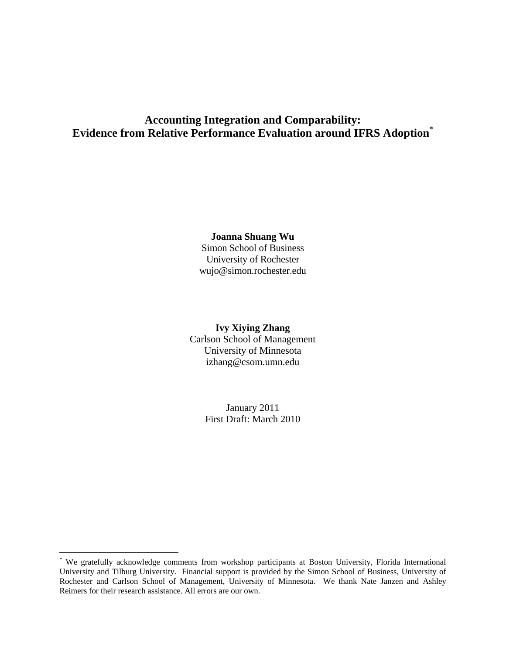# **Accounting Integration and Comparability: Evidence from Relative Performance Evaluation around IFRS Adoption\***

#### **Joanna Shuang Wu**

Simon School of Business University of Rochester wujo@simon.rochester.edu

# **Ivy Xiying Zhang**  Carlson School of Management University of Minnesota izhang@csom.umn.edu

January 2011 First Draft: March 2010

 $\overline{a}$ 

<sup>\*</sup> We gratefully acknowledge comments from workshop participants at Boston University, Florida International University and Tilburg University. Financial support is provided by the Simon School of Business, University of Rochester and Carlson School of Management, University of Minnesota. We thank Nate Janzen and Ashley Reimers for their research assistance. All errors are our own.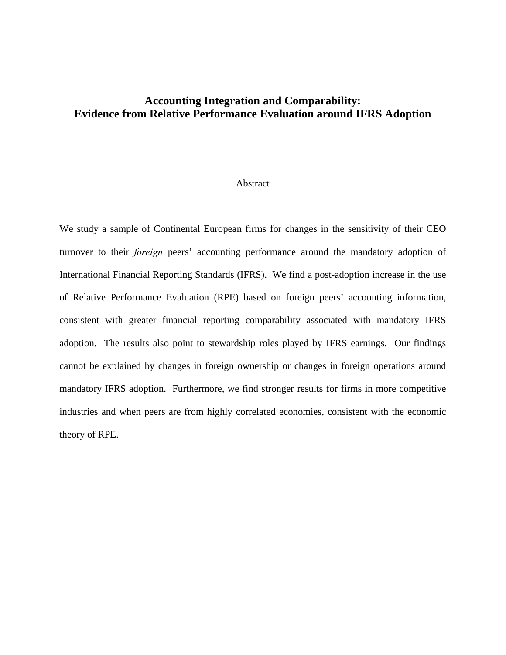# **Accounting Integration and Comparability: Evidence from Relative Performance Evaluation around IFRS Adoption**

### Abstract

We study a sample of Continental European firms for changes in the sensitivity of their CEO turnover to their *foreign* peers' accounting performance around the mandatory adoption of International Financial Reporting Standards (IFRS). We find a post-adoption increase in the use of Relative Performance Evaluation (RPE) based on foreign peers' accounting information, consistent with greater financial reporting comparability associated with mandatory IFRS adoption. The results also point to stewardship roles played by IFRS earnings. Our findings cannot be explained by changes in foreign ownership or changes in foreign operations around mandatory IFRS adoption. Furthermore, we find stronger results for firms in more competitive industries and when peers are from highly correlated economies, consistent with the economic theory of RPE.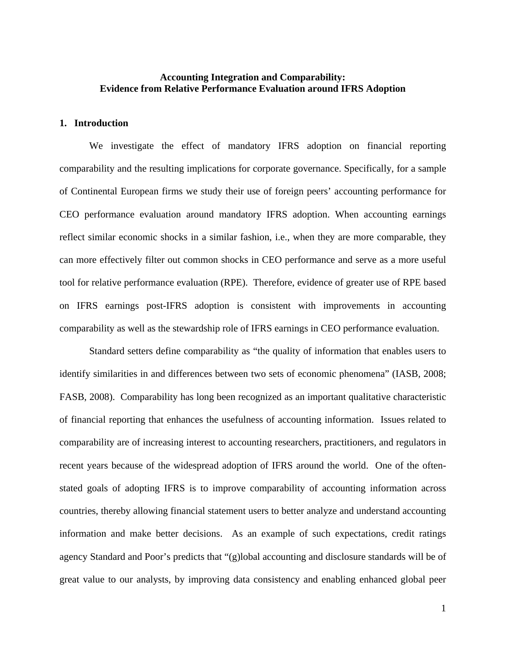# **Accounting Integration and Comparability: Evidence from Relative Performance Evaluation around IFRS Adoption**

### **1. Introduction**

We investigate the effect of mandatory IFRS adoption on financial reporting comparability and the resulting implications for corporate governance. Specifically, for a sample of Continental European firms we study their use of foreign peers' accounting performance for CEO performance evaluation around mandatory IFRS adoption. When accounting earnings reflect similar economic shocks in a similar fashion, i.e., when they are more comparable, they can more effectively filter out common shocks in CEO performance and serve as a more useful tool for relative performance evaluation (RPE). Therefore, evidence of greater use of RPE based on IFRS earnings post-IFRS adoption is consistent with improvements in accounting comparability as well as the stewardship role of IFRS earnings in CEO performance evaluation.

Standard setters define comparability as "the quality of information that enables users to identify similarities in and differences between two sets of economic phenomena" (IASB, 2008; FASB, 2008). Comparability has long been recognized as an important qualitative characteristic of financial reporting that enhances the usefulness of accounting information. Issues related to comparability are of increasing interest to accounting researchers, practitioners, and regulators in recent years because of the widespread adoption of IFRS around the world. One of the oftenstated goals of adopting IFRS is to improve comparability of accounting information across countries, thereby allowing financial statement users to better analyze and understand accounting information and make better decisions. As an example of such expectations, credit ratings agency Standard and Poor's predicts that "(g)lobal accounting and disclosure standards will be of great value to our analysts, by improving data consistency and enabling enhanced global peer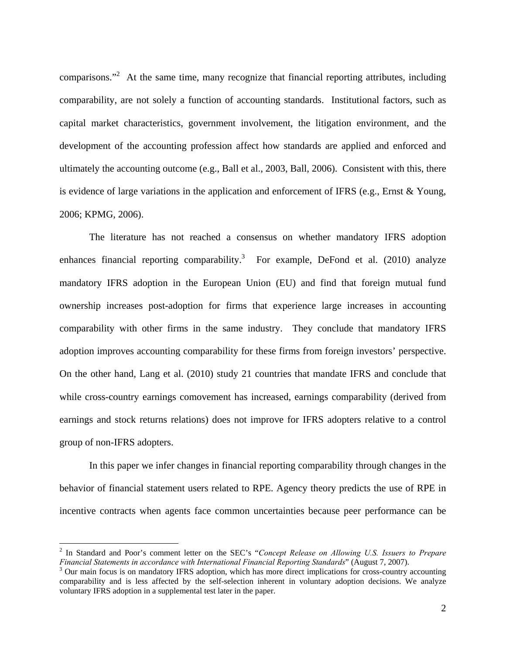comparisons."<sup>2</sup> At the same time, many recognize that financial reporting attributes, including comparability, are not solely a function of accounting standards. Institutional factors, such as capital market characteristics, government involvement, the litigation environment, and the development of the accounting profession affect how standards are applied and enforced and ultimately the accounting outcome (e.g., Ball et al., 2003, Ball, 2006). Consistent with this, there is evidence of large variations in the application and enforcement of IFRS (e.g., Ernst & Young, 2006; KPMG, 2006).

The literature has not reached a consensus on whether mandatory IFRS adoption enhances financial reporting comparability.<sup>3</sup> For example, DeFond et al. (2010) analyze mandatory IFRS adoption in the European Union (EU) and find that foreign mutual fund ownership increases post-adoption for firms that experience large increases in accounting comparability with other firms in the same industry. They conclude that mandatory IFRS adoption improves accounting comparability for these firms from foreign investors' perspective. On the other hand, Lang et al. (2010) study 21 countries that mandate IFRS and conclude that while cross-country earnings comovement has increased, earnings comparability (derived from earnings and stock returns relations) does not improve for IFRS adopters relative to a control group of non-IFRS adopters.

In this paper we infer changes in financial reporting comparability through changes in the behavior of financial statement users related to RPE. Agency theory predicts the use of RPE in incentive contracts when agents face common uncertainties because peer performance can be

 $\overline{a}$ 

<sup>2</sup> In Standard and Poor's comment letter on the SEC's "*Concept Release on Allowing U.S. Issuers to Prepare Financial Statements in accordance with International Financial Reporting Standards*" (August 7, 2007). 3

<sup>&</sup>lt;sup>3</sup> Our main focus is on mandatory IFRS adoption, which has more direct implications for cross-country accounting comparability and is less affected by the self-selection inherent in voluntary adoption decisions. We analyze voluntary IFRS adoption in a supplemental test later in the paper.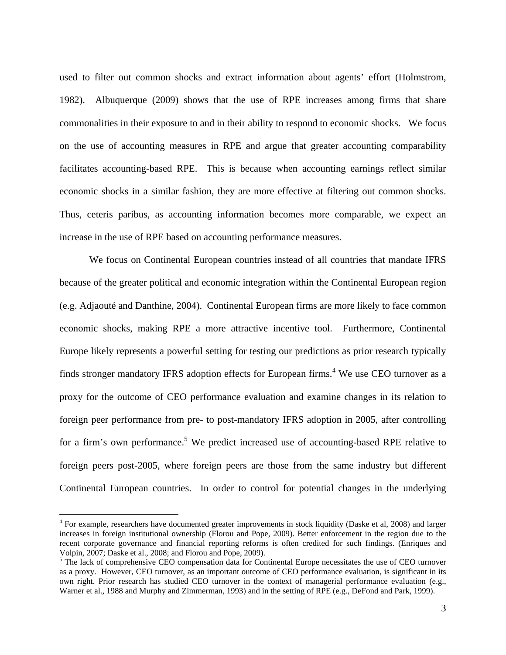used to filter out common shocks and extract information about agents' effort (Holmstrom, 1982). Albuquerque (2009) shows that the use of RPE increases among firms that share commonalities in their exposure to and in their ability to respond to economic shocks. We focus on the use of accounting measures in RPE and argue that greater accounting comparability facilitates accounting-based RPE. This is because when accounting earnings reflect similar economic shocks in a similar fashion, they are more effective at filtering out common shocks. Thus, ceteris paribus, as accounting information becomes more comparable, we expect an increase in the use of RPE based on accounting performance measures.

We focus on Continental European countries instead of all countries that mandate IFRS because of the greater political and economic integration within the Continental European region (e.g. Adjaouté and Danthine, 2004). Continental European firms are more likely to face common economic shocks, making RPE a more attractive incentive tool. Furthermore, Continental Europe likely represents a powerful setting for testing our predictions as prior research typically finds stronger mandatory IFRS adoption effects for European firms.<sup>4</sup> We use CEO turnover as a proxy for the outcome of CEO performance evaluation and examine changes in its relation to foreign peer performance from pre- to post-mandatory IFRS adoption in 2005, after controlling for a firm's own performance.<sup>5</sup> We predict increased use of accounting-based RPE relative to foreign peers post-2005, where foreign peers are those from the same industry but different Continental European countries. In order to control for potential changes in the underlying

1

<sup>&</sup>lt;sup>4</sup> For example, researchers have documented greater improvements in stock liquidity (Daske et al, 2008) and larger increases in foreign institutional ownership (Florou and Pope, 2009). Better enforcement in the region due to the recent corporate governance and financial reporting reforms is often credited for such findings. (Enriques and Volpin, 2007; Daske et al., 2008; and Florou and Pope, 2009).

<sup>&</sup>lt;sup>5</sup> The lack of comprehensive CEO compensation data for Continental Europe necessitates the use of CEO turnover as a proxy. However, CEO turnover, as an important outcome of CEO performance evaluation, is significant in its own right. Prior research has studied CEO turnover in the context of managerial performance evaluation (e.g., Warner et al., 1988 and Murphy and Zimmerman, 1993) and in the setting of RPE (e.g., DeFond and Park, 1999).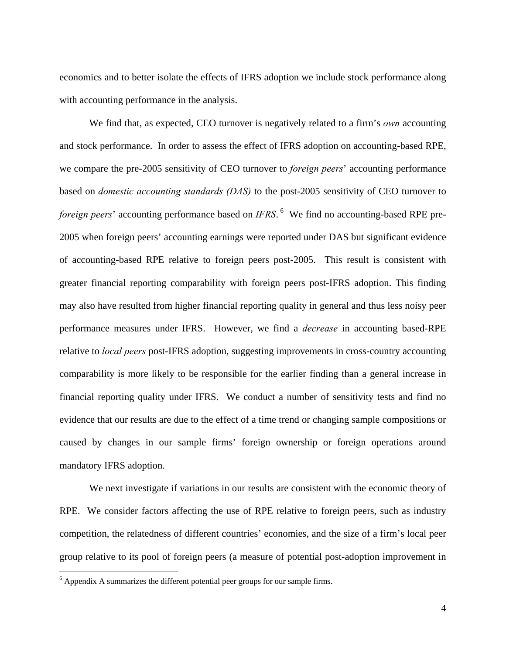economics and to better isolate the effects of IFRS adoption we include stock performance along with accounting performance in the analysis.

We find that, as expected, CEO turnover is negatively related to a firm's *own* accounting and stock performance. In order to assess the effect of IFRS adoption on accounting-based RPE, we compare the pre-2005 sensitivity of CEO turnover to *foreign peers*' accounting performance based on *domestic accounting standards (DAS)* to the post-2005 sensitivity of CEO turnover to foreign peers' accounting performance based on *IFRS*. <sup>6</sup> We find no accounting-based RPE pre-2005 when foreign peers' accounting earnings were reported under DAS but significant evidence of accounting-based RPE relative to foreign peers post-2005. This result is consistent with greater financial reporting comparability with foreign peers post-IFRS adoption. This finding may also have resulted from higher financial reporting quality in general and thus less noisy peer performance measures under IFRS. However, we find a *decrease* in accounting based-RPE relative to *local peers* post-IFRS adoption, suggesting improvements in cross-country accounting comparability is more likely to be responsible for the earlier finding than a general increase in financial reporting quality under IFRS. We conduct a number of sensitivity tests and find no evidence that our results are due to the effect of a time trend or changing sample compositions or caused by changes in our sample firms' foreign ownership or foreign operations around mandatory IFRS adoption.

We next investigate if variations in our results are consistent with the economic theory of RPE. We consider factors affecting the use of RPE relative to foreign peers, such as industry competition, the relatedness of different countries' economies, and the size of a firm's local peer group relative to its pool of foreign peers (a measure of potential post-adoption improvement in

1

<sup>&</sup>lt;sup>6</sup> Appendix A summarizes the different potential peer groups for our sample firms.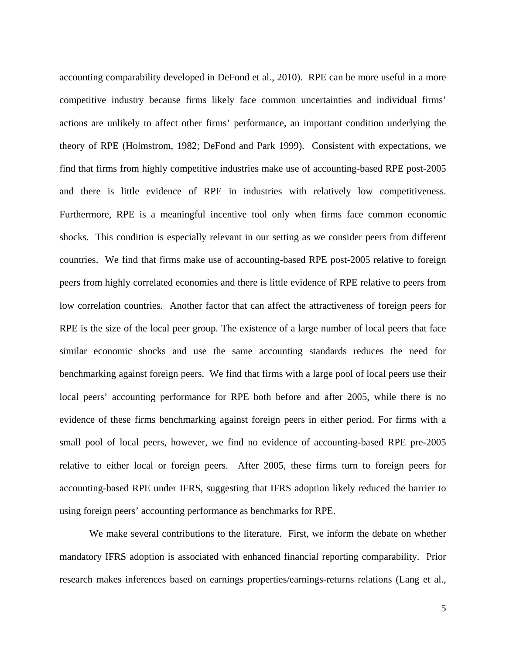accounting comparability developed in DeFond et al., 2010). RPE can be more useful in a more competitive industry because firms likely face common uncertainties and individual firms' actions are unlikely to affect other firms' performance, an important condition underlying the theory of RPE (Holmstrom, 1982; DeFond and Park 1999). Consistent with expectations, we find that firms from highly competitive industries make use of accounting-based RPE post-2005 and there is little evidence of RPE in industries with relatively low competitiveness. Furthermore, RPE is a meaningful incentive tool only when firms face common economic shocks. This condition is especially relevant in our setting as we consider peers from different countries. We find that firms make use of accounting-based RPE post-2005 relative to foreign peers from highly correlated economies and there is little evidence of RPE relative to peers from low correlation countries. Another factor that can affect the attractiveness of foreign peers for RPE is the size of the local peer group. The existence of a large number of local peers that face similar economic shocks and use the same accounting standards reduces the need for benchmarking against foreign peers. We find that firms with a large pool of local peers use their local peers' accounting performance for RPE both before and after 2005, while there is no evidence of these firms benchmarking against foreign peers in either period. For firms with a small pool of local peers, however, we find no evidence of accounting-based RPE pre-2005 relative to either local or foreign peers. After 2005, these firms turn to foreign peers for accounting-based RPE under IFRS, suggesting that IFRS adoption likely reduced the barrier to using foreign peers' accounting performance as benchmarks for RPE.

We make several contributions to the literature. First, we inform the debate on whether mandatory IFRS adoption is associated with enhanced financial reporting comparability. Prior research makes inferences based on earnings properties/earnings-returns relations (Lang et al.,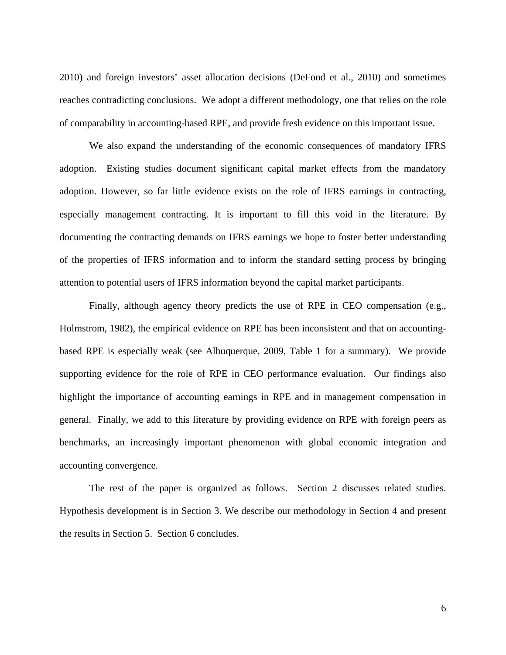2010) and foreign investors' asset allocation decisions (DeFond et al., 2010) and sometimes reaches contradicting conclusions. We adopt a different methodology, one that relies on the role of comparability in accounting-based RPE, and provide fresh evidence on this important issue.

We also expand the understanding of the economic consequences of mandatory IFRS adoption. Existing studies document significant capital market effects from the mandatory adoption. However, so far little evidence exists on the role of IFRS earnings in contracting, especially management contracting. It is important to fill this void in the literature. By documenting the contracting demands on IFRS earnings we hope to foster better understanding of the properties of IFRS information and to inform the standard setting process by bringing attention to potential users of IFRS information beyond the capital market participants.

Finally, although agency theory predicts the use of RPE in CEO compensation (e.g., Holmstrom, 1982), the empirical evidence on RPE has been inconsistent and that on accountingbased RPE is especially weak (see Albuquerque, 2009, Table 1 for a summary). We provide supporting evidence for the role of RPE in CEO performance evaluation. Our findings also highlight the importance of accounting earnings in RPE and in management compensation in general. Finally, we add to this literature by providing evidence on RPE with foreign peers as benchmarks, an increasingly important phenomenon with global economic integration and accounting convergence.

The rest of the paper is organized as follows. Section 2 discusses related studies. Hypothesis development is in Section 3. We describe our methodology in Section 4 and present the results in Section 5. Section 6 concludes.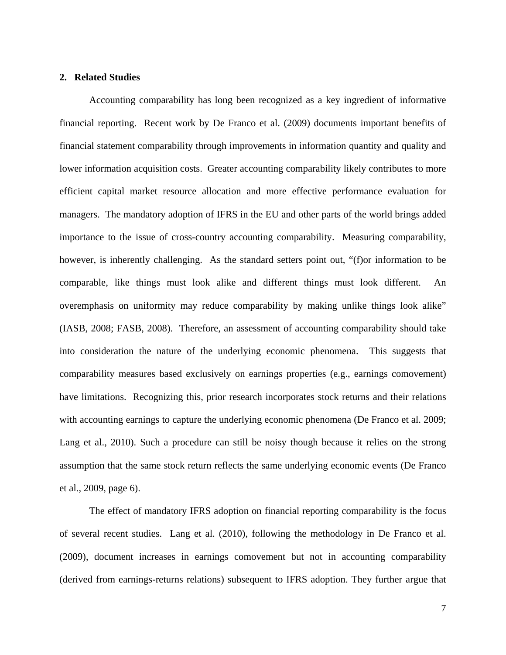# **2. Related Studies**

Accounting comparability has long been recognized as a key ingredient of informative financial reporting. Recent work by De Franco et al. (2009) documents important benefits of financial statement comparability through improvements in information quantity and quality and lower information acquisition costs. Greater accounting comparability likely contributes to more efficient capital market resource allocation and more effective performance evaluation for managers. The mandatory adoption of IFRS in the EU and other parts of the world brings added importance to the issue of cross-country accounting comparability. Measuring comparability, however, is inherently challenging. As the standard setters point out, "(f) or information to be comparable, like things must look alike and different things must look different. An overemphasis on uniformity may reduce comparability by making unlike things look alike" (IASB, 2008; FASB, 2008). Therefore, an assessment of accounting comparability should take into consideration the nature of the underlying economic phenomena. This suggests that comparability measures based exclusively on earnings properties (e.g., earnings comovement) have limitations. Recognizing this, prior research incorporates stock returns and their relations with accounting earnings to capture the underlying economic phenomena (De Franco et al. 2009; Lang et al., 2010). Such a procedure can still be noisy though because it relies on the strong assumption that the same stock return reflects the same underlying economic events (De Franco et al., 2009, page 6).

The effect of mandatory IFRS adoption on financial reporting comparability is the focus of several recent studies. Lang et al. (2010), following the methodology in De Franco et al. (2009), document increases in earnings comovement but not in accounting comparability (derived from earnings-returns relations) subsequent to IFRS adoption. They further argue that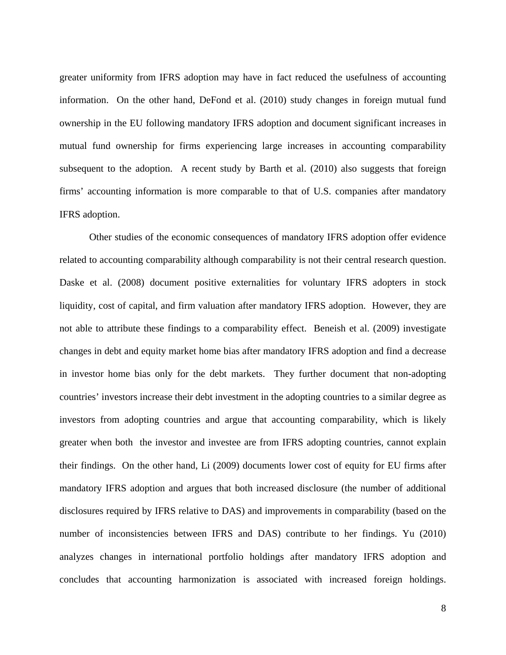greater uniformity from IFRS adoption may have in fact reduced the usefulness of accounting information. On the other hand, DeFond et al. (2010) study changes in foreign mutual fund ownership in the EU following mandatory IFRS adoption and document significant increases in mutual fund ownership for firms experiencing large increases in accounting comparability subsequent to the adoption. A recent study by Barth et al. (2010) also suggests that foreign firms' accounting information is more comparable to that of U.S. companies after mandatory IFRS adoption.

Other studies of the economic consequences of mandatory IFRS adoption offer evidence related to accounting comparability although comparability is not their central research question. Daske et al. (2008) document positive externalities for voluntary IFRS adopters in stock liquidity, cost of capital, and firm valuation after mandatory IFRS adoption. However, they are not able to attribute these findings to a comparability effect. Beneish et al. (2009) investigate changes in debt and equity market home bias after mandatory IFRS adoption and find a decrease in investor home bias only for the debt markets. They further document that non-adopting countries' investors increase their debt investment in the adopting countries to a similar degree as investors from adopting countries and argue that accounting comparability, which is likely greater when both the investor and investee are from IFRS adopting countries, cannot explain their findings. On the other hand, Li (2009) documents lower cost of equity for EU firms after mandatory IFRS adoption and argues that both increased disclosure (the number of additional disclosures required by IFRS relative to DAS) and improvements in comparability (based on the number of inconsistencies between IFRS and DAS) contribute to her findings. Yu (2010) analyzes changes in international portfolio holdings after mandatory IFRS adoption and concludes that accounting harmonization is associated with increased foreign holdings.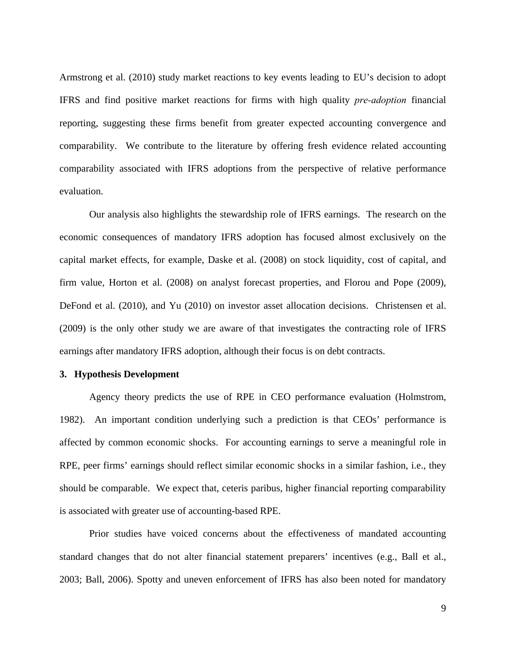Armstrong et al. (2010) study market reactions to key events leading to EU's decision to adopt IFRS and find positive market reactions for firms with high quality *pre-adoption* financial reporting, suggesting these firms benefit from greater expected accounting convergence and comparability. We contribute to the literature by offering fresh evidence related accounting comparability associated with IFRS adoptions from the perspective of relative performance evaluation.

Our analysis also highlights the stewardship role of IFRS earnings. The research on the economic consequences of mandatory IFRS adoption has focused almost exclusively on the capital market effects, for example, Daske et al. (2008) on stock liquidity, cost of capital, and firm value, Horton et al. (2008) on analyst forecast properties, and Florou and Pope (2009), DeFond et al. (2010), and Yu (2010) on investor asset allocation decisions. Christensen et al. (2009) is the only other study we are aware of that investigates the contracting role of IFRS earnings after mandatory IFRS adoption, although their focus is on debt contracts.

### **3. Hypothesis Development**

Agency theory predicts the use of RPE in CEO performance evaluation (Holmstrom, 1982). An important condition underlying such a prediction is that CEOs' performance is affected by common economic shocks. For accounting earnings to serve a meaningful role in RPE, peer firms' earnings should reflect similar economic shocks in a similar fashion, i.e., they should be comparable. We expect that, ceteris paribus, higher financial reporting comparability is associated with greater use of accounting-based RPE.

Prior studies have voiced concerns about the effectiveness of mandated accounting standard changes that do not alter financial statement preparers' incentives (e.g., Ball et al., 2003; Ball, 2006). Spotty and uneven enforcement of IFRS has also been noted for mandatory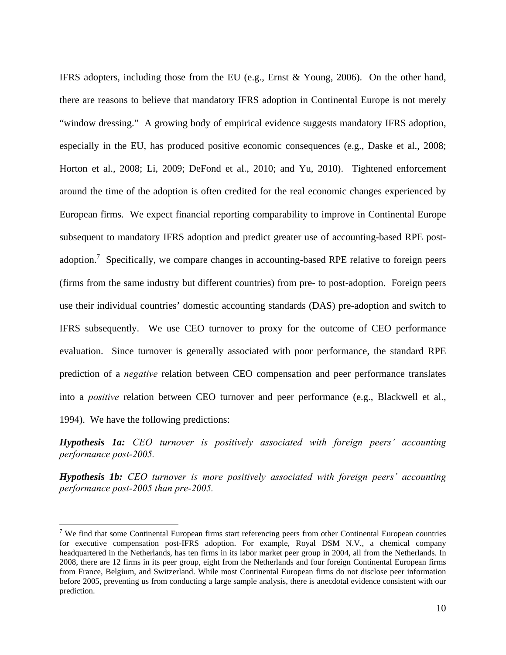IFRS adopters, including those from the EU (e.g., Ernst & Young, 2006). On the other hand, there are reasons to believe that mandatory IFRS adoption in Continental Europe is not merely "window dressing." A growing body of empirical evidence suggests mandatory IFRS adoption, especially in the EU, has produced positive economic consequences (e.g., Daske et al., 2008; Horton et al., 2008; Li, 2009; DeFond et al., 2010; and Yu, 2010). Tightened enforcement around the time of the adoption is often credited for the real economic changes experienced by European firms. We expect financial reporting comparability to improve in Continental Europe subsequent to mandatory IFRS adoption and predict greater use of accounting-based RPE postadoption.<sup>7</sup> Specifically, we compare changes in accounting-based RPE relative to foreign peers (firms from the same industry but different countries) from pre- to post-adoption. Foreign peers use their individual countries' domestic accounting standards (DAS) pre-adoption and switch to IFRS subsequently. We use CEO turnover to proxy for the outcome of CEO performance evaluation. Since turnover is generally associated with poor performance, the standard RPE prediction of a *negative* relation between CEO compensation and peer performance translates into a *positive* relation between CEO turnover and peer performance (e.g., Blackwell et al., 1994). We have the following predictions:

*Hypothesis 1a: CEO turnover is positively associated with foreign peers' accounting performance post-2005.* 

*Hypothesis 1b: CEO turnover is more positively associated with foreign peers' accounting performance post-2005 than pre-2005.* 

<u>.</u>

<sup>&</sup>lt;sup>7</sup> We find that some Continental European firms start referencing peers from other Continental European countries for executive compensation post-IFRS adoption. For example, Royal DSM N.V., a chemical company headquartered in the Netherlands, has ten firms in its labor market peer group in 2004, all from the Netherlands. In 2008, there are 12 firms in its peer group, eight from the Netherlands and four foreign Continental European firms from France, Belgium, and Switzerland. While most Continental European firms do not disclose peer information before 2005, preventing us from conducting a large sample analysis, there is anecdotal evidence consistent with our prediction.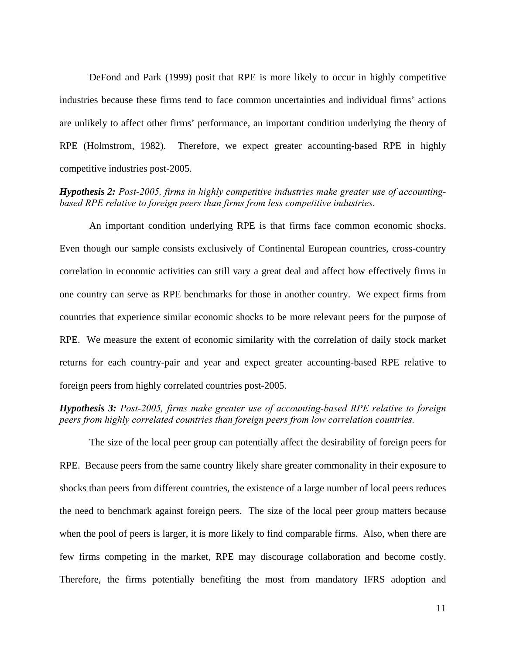DeFond and Park (1999) posit that RPE is more likely to occur in highly competitive industries because these firms tend to face common uncertainties and individual firms' actions are unlikely to affect other firms' performance, an important condition underlying the theory of RPE (Holmstrom, 1982). Therefore, we expect greater accounting-based RPE in highly competitive industries post-2005.

*Hypothesis 2: Post-2005, firms in highly competitive industries make greater use of accountingbased RPE relative to foreign peers than firms from less competitive industries.* 

 An important condition underlying RPE is that firms face common economic shocks. Even though our sample consists exclusively of Continental European countries, cross-country correlation in economic activities can still vary a great deal and affect how effectively firms in one country can serve as RPE benchmarks for those in another country. We expect firms from countries that experience similar economic shocks to be more relevant peers for the purpose of RPE. We measure the extent of economic similarity with the correlation of daily stock market returns for each country-pair and year and expect greater accounting-based RPE relative to foreign peers from highly correlated countries post-2005.

*Hypothesis 3: Post-2005, firms make greater use of accounting-based RPE relative to foreign peers from highly correlated countries than foreign peers from low correlation countries.* 

The size of the local peer group can potentially affect the desirability of foreign peers for RPE. Because peers from the same country likely share greater commonality in their exposure to shocks than peers from different countries, the existence of a large number of local peers reduces the need to benchmark against foreign peers. The size of the local peer group matters because when the pool of peers is larger, it is more likely to find comparable firms. Also, when there are few firms competing in the market, RPE may discourage collaboration and become costly. Therefore, the firms potentially benefiting the most from mandatory IFRS adoption and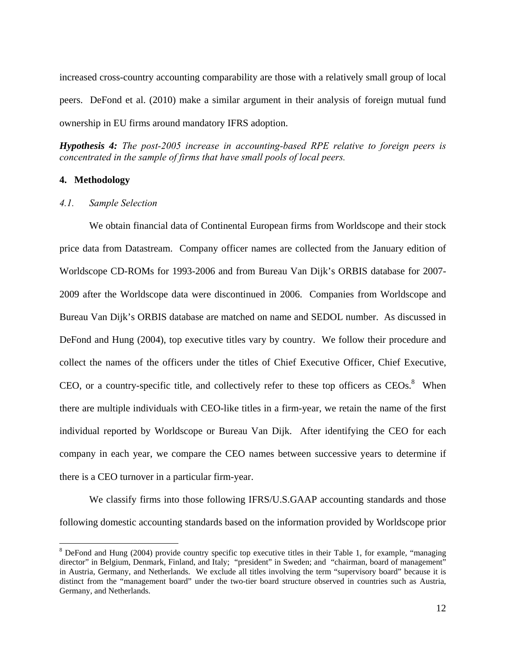increased cross-country accounting comparability are those with a relatively small group of local peers. DeFond et al. (2010) make a similar argument in their analysis of foreign mutual fund ownership in EU firms around mandatory IFRS adoption.

*Hypothesis 4: The post-2005 increase in accounting-based RPE relative to foreign peers is concentrated in the sample of firms that have small pools of local peers.* 

### **4. Methodology**

1

#### *4.1. Sample Selection*

We obtain financial data of Continental European firms from Worldscope and their stock price data from Datastream. Company officer names are collected from the January edition of Worldscope CD-ROMs for 1993-2006 and from Bureau Van Dijk's ORBIS database for 2007- 2009 after the Worldscope data were discontinued in 2006. Companies from Worldscope and Bureau Van Dijk's ORBIS database are matched on name and SEDOL number. As discussed in DeFond and Hung (2004), top executive titles vary by country. We follow their procedure and collect the names of the officers under the titles of Chief Executive Officer, Chief Executive, CEO, or a country-specific title, and collectively refer to these top officers as  $CEOs.<sup>8</sup>$  When there are multiple individuals with CEO-like titles in a firm-year, we retain the name of the first individual reported by Worldscope or Bureau Van Dijk. After identifying the CEO for each company in each year, we compare the CEO names between successive years to determine if there is a CEO turnover in a particular firm-year.

We classify firms into those following IFRS/U.S.GAAP accounting standards and those following domestic accounting standards based on the information provided by Worldscope prior

 $8$  DeFond and Hung (2004) provide country specific top executive titles in their Table 1, for example, "managing director" in Belgium, Denmark, Finland, and Italy; "president" in Sweden; and "chairman, board of management" in Austria, Germany, and Netherlands. We exclude all titles involving the term "supervisory board" because it is distinct from the "management board" under the two-tier board structure observed in countries such as Austria, Germany, and Netherlands.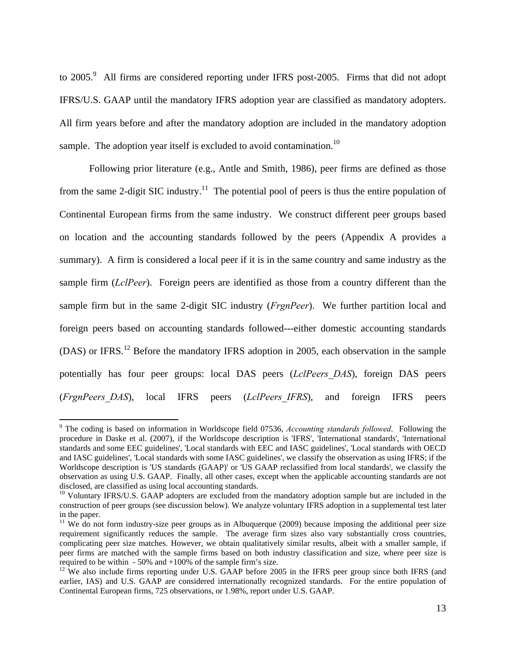to  $2005$ .<sup>9</sup> All firms are considered reporting under IFRS post-2005. Firms that did not adopt IFRS/U.S. GAAP until the mandatory IFRS adoption year are classified as mandatory adopters. All firm years before and after the mandatory adoption are included in the mandatory adoption sample. The adoption year itself is excluded to avoid contamination.<sup>10</sup>

Following prior literature (e.g., Antle and Smith, 1986), peer firms are defined as those from the same 2-digit SIC industry.<sup>11</sup> The potential pool of peers is thus the entire population of Continental European firms from the same industry. We construct different peer groups based on location and the accounting standards followed by the peers (Appendix A provides a summary). A firm is considered a local peer if it is in the same country and same industry as the sample firm (*LclPeer*). Foreign peers are identified as those from a country different than the sample firm but in the same 2-digit SIC industry (*FrgnPeer*). We further partition local and foreign peers based on accounting standards followed---either domestic accounting standards (DAS) or IFRS.<sup>12</sup> Before the mandatory IFRS adoption in 2005, each observation in the sample potentially has four peer groups: local DAS peers (*LclPeers\_DAS*), foreign DAS peers (*FrgnPeers\_DAS*), local IFRS peers (*LclPeers\_IFRS*), and foreign IFRS peers

1

<sup>9</sup> The coding is based on information in Worldscope field 07536, *Accounting standards followed*. Following the procedure in Daske et al. (2007), if the Worldscope description is 'IFRS', 'International standards', 'International standards and some EEC guidelines', 'Local standards with EEC and IASC guidelines', 'Local standards with OECD and IASC guidelines', 'Local standards with some IASC guidelines', we classify the observation as using IFRS; if the Worldscope description is 'US standards (GAAP)' or 'US GAAP reclassified from local standards', we classify the observation as using U.S. GAAP. Finally, all other cases, except when the applicable accounting standards are not disclosed, are classified as using local accounting standards.<br><sup>10</sup> Voluntary IFRS/U.S. GAAP adopters are excluded from the mandatory adoption sample but are included in the

construction of peer groups (see discussion below). We analyze voluntary IFRS adoption in a supplemental test later in the paper.

<sup>&</sup>lt;sup>11</sup> We do not form industry-size peer groups as in Albuquerque (2009) because imposing the additional peer size requirement significantly reduces the sample. The average firm sizes also vary substantially cross countries, complicating peer size matches. However, we obtain qualitatively similar results, albeit with a smaller sample, if peer firms are matched with the sample firms based on both industry classification and size, where peer size is required to be within - 50% and +100% of the sample firm's size.

 $12$  We also include firms reporting under U.S. GAAP before 2005 in the IFRS peer group since both IFRS (and earlier, IAS) and U.S. GAAP are considered internationally recognized standards. For the entire population of Continental European firms, 725 observations, or 1.98%, report under U.S. GAAP.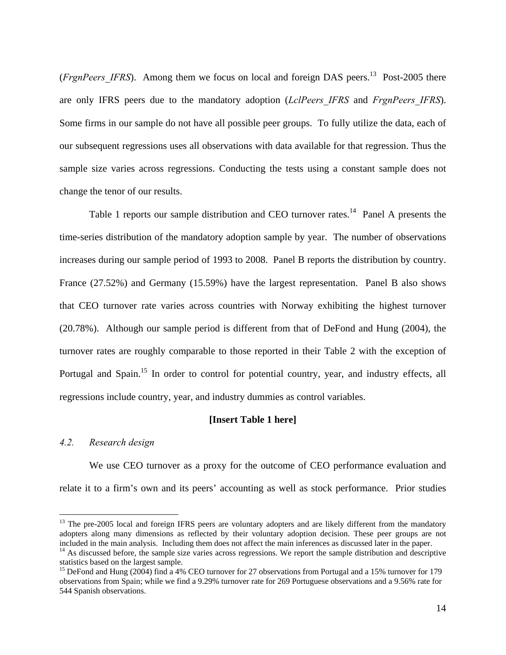(*FrgnPeers IFRS*). Among them we focus on local and foreign DAS peers.<sup>13</sup> Post-2005 there are only IFRS peers due to the mandatory adoption (*LclPeers\_IFRS* and *FrgnPeers\_IFRS*). Some firms in our sample do not have all possible peer groups. To fully utilize the data, each of our subsequent regressions uses all observations with data available for that regression. Thus the sample size varies across regressions. Conducting the tests using a constant sample does not change the tenor of our results.

Table 1 reports our sample distribution and CEO turnover rates.<sup>14</sup> Panel A presents the time-series distribution of the mandatory adoption sample by year. The number of observations increases during our sample period of 1993 to 2008. Panel B reports the distribution by country. France (27.52%) and Germany (15.59%) have the largest representation. Panel B also shows that CEO turnover rate varies across countries with Norway exhibiting the highest turnover (20.78%). Although our sample period is different from that of DeFond and Hung (2004), the turnover rates are roughly comparable to those reported in their Table 2 with the exception of Portugal and Spain.<sup>15</sup> In order to control for potential country, year, and industry effects, all regressions include country, year, and industry dummies as control variables.

### **[Insert Table 1 here]**

#### *4.2. Research design*

1

We use CEO turnover as a proxy for the outcome of CEO performance evaluation and relate it to a firm's own and its peers' accounting as well as stock performance. Prior studies

<sup>&</sup>lt;sup>13</sup> The pre-2005 local and foreign IFRS peers are voluntary adopters and are likely different from the mandatory adopters along many dimensions as reflected by their voluntary adoption decision. These peer groups are not included in the main analysis. Including them does not affect the main inferences as discussed later in the paper.

<sup>&</sup>lt;sup>14</sup> As discussed before, the sample size varies across regressions. We report the sample distribution and descriptive statistics based on the largest sample.

<sup>&</sup>lt;sup>15</sup> DeFond and Hung (2004) find a 4% CEO turnover for 27 observations from Portugal and a 15% turnover for 179 observations from Spain; while we find a 9.29% turnover rate for 269 Portuguese observations and a 9.56% rate for 544 Spanish observations.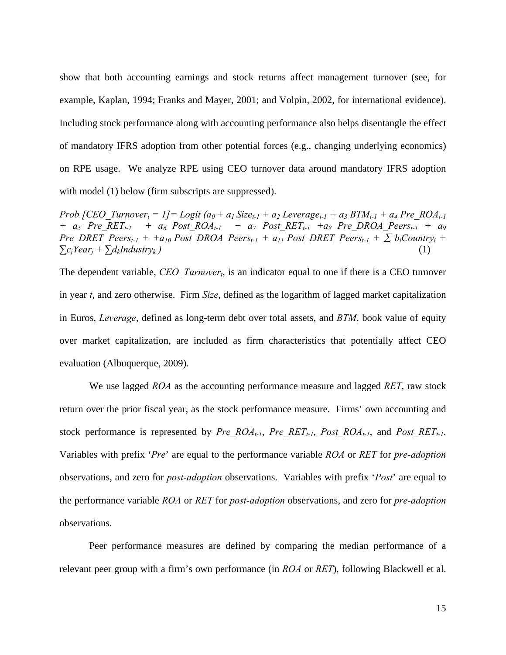show that both accounting earnings and stock returns affect management turnover (see, for example, Kaplan, 1994; Franks and Mayer, 2001; and Volpin, 2002, for international evidence). Including stock performance along with accounting performance also helps disentangle the effect of mandatory IFRS adoption from other potential forces (e.g., changing underlying economics) on RPE usage. We analyze RPE using CEO turnover data around mandatory IFRS adoption with model (1) below (firm subscripts are suppressed).

*Prob [CEO\_Turnover<sub>t</sub> = 1]= Logit (a<sub>0</sub> + a<sub>1</sub> Size<sub>t-1</sub> + a<sub>2</sub> Leverage<sub>t-1</sub> + a<sub>3</sub> BTM<sub>t-1</sub> + a<sub>4</sub> Pre\_ROA<sub>t-1</sub> + a<sub>5</sub> Pre RET<sub>t-1</sub> + a<sub>6</sub> Post ROA<sub>t-1</sub> + a<sub>7</sub> Post RET<sub>t-1</sub> +a<sub>8</sub> Pre DROA Peers<sub>t-1</sub> + a<sub>9</sub> Pre\_DRET\_Peers<sub>t-1</sub> + +a<sub>10</sub> Post\_DROA\_Peers<sub>t-1</sub> + a<sub>11</sub> Post\_DRET\_Peers<sub>t-1</sub> +*  $\sum b_i$ *Country<sub>i</sub> +*  $\sum c_i \text{Year}_i + \sum d_k \text{Industry}_k$  (1)

The dependent variable, *CEO* Turnover<sub>t</sub>, is an indicator equal to one if there is a CEO turnover in year *t*, and zero otherwise. Firm *Size*, defined as the logarithm of lagged market capitalization in Euros, *Leverage*, defined as long-term debt over total assets, and *BTM*, book value of equity over market capitalization, are included as firm characteristics that potentially affect CEO evaluation (Albuquerque, 2009).

We use lagged *ROA* as the accounting performance measure and lagged *RET*, raw stock return over the prior fiscal year, as the stock performance measure. Firms' own accounting and stock performance is represented by *Pre\_ROA<sub>t-1</sub>*, *Pre\_RET<sub>t-1</sub>*, *Post\_ROA<sub>t-1</sub>*, and *Post\_RET<sub>t-1</sub>*. Variables with prefix '*Pre*' are equal to the performance variable *ROA* or *RET* for *pre-adoption* observations, and zero for *post-adoption* observations. Variables with prefix '*Post*' are equal to the performance variable *ROA* or *RET* for *post-adoption* observations, and zero for *pre-adoption* observations.

Peer performance measures are defined by comparing the median performance of a relevant peer group with a firm's own performance (in *ROA* or *RET*), following Blackwell et al.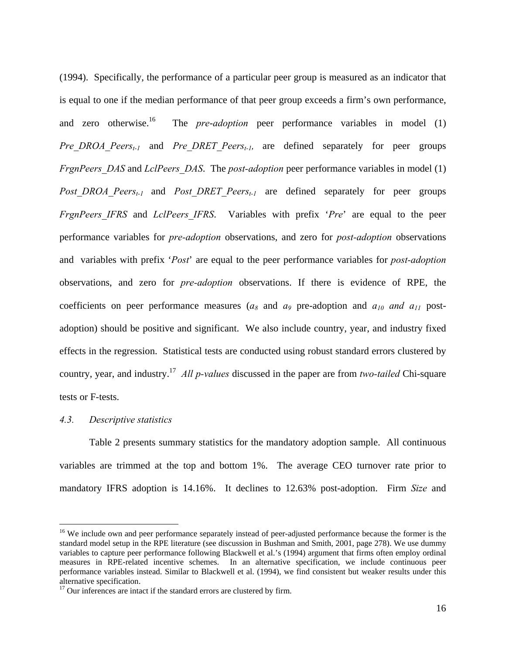(1994). Specifically, the performance of a particular peer group is measured as an indicator that is equal to one if the median performance of that peer group exceeds a firm's own performance, and zero otherwise.<sup>16</sup> The *pre-adoption* peer performance variables in model (1) *Pre\_DROA\_Peers<sub>t-1</sub>* and *Pre\_DRET\_Peers<sub>t-1</sub>,* are defined separately for peer groups *FrgnPeers\_DAS* and *LclPeers\_DAS*. The *post-adoption* peer performance variables in model (1) *Post DROA Peers<sub>t-1</sub>* and *Post DRET Peers<sub>t-1</sub>* are defined separately for peer groups *FrgnPeers\_IFRS* and *LclPeers\_IFRS*. Variables with prefix '*Pre*' are equal to the peer performance variables for *pre-adoption* observations, and zero for *post-adoption* observations and variables with prefix '*Post*' are equal to the peer performance variables for *post-adoption* observations, and zero for *pre-adoption* observations. If there is evidence of RPE, the coefficients on peer performance measures  $(a_8 \text{ and } a_9 \text{ pre-adjoint and } a_{10} \text{ and } a_{11} \text{ post-}$ adoption) should be positive and significant. We also include country, year, and industry fixed effects in the regression. Statistical tests are conducted using robust standard errors clustered by country, year, and industry.17 *All p-values* discussed in the paper are from *two-tailed* Chi-square tests or F-tests.

#### *4.3. Descriptive statistics*

<u>.</u>

Table 2 presents summary statistics for the mandatory adoption sample. All continuous variables are trimmed at the top and bottom 1%. The average CEO turnover rate prior to mandatory IFRS adoption is 14.16%. It declines to 12.63% post-adoption. Firm *Size* and

<sup>&</sup>lt;sup>16</sup> We include own and peer performance separately instead of peer-adjusted performance because the former is the standard model setup in the RPE literature (see discussion in Bushman and Smith, 2001, page 278). We use dummy variables to capture peer performance following Blackwell et al.'s (1994) argument that firms often employ ordinal measures in RPE-related incentive schemes. In an alternative specification, we include continuous peer performance variables instead. Similar to Blackwell et al. (1994), we find consistent but weaker results under this alternative specification.

 $17$  Our inferences are intact if the standard errors are clustered by firm.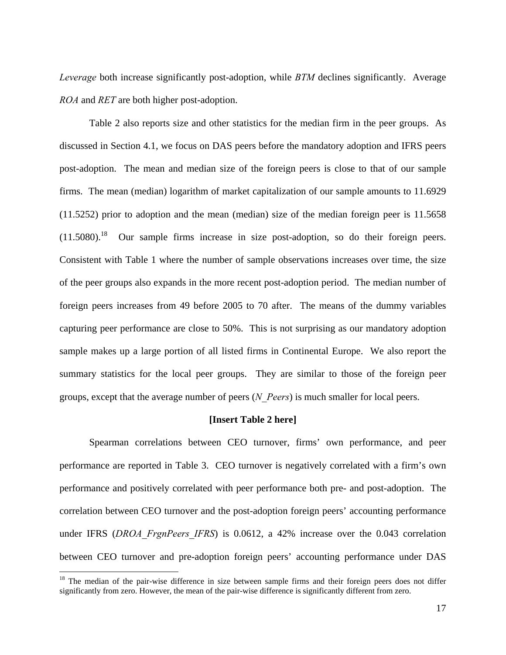*Leverage* both increase significantly post-adoption, while *BTM* declines significantly. Average *ROA* and *RET* are both higher post-adoption.

Table 2 also reports size and other statistics for the median firm in the peer groups. As discussed in Section 4.1, we focus on DAS peers before the mandatory adoption and IFRS peers post-adoption. The mean and median size of the foreign peers is close to that of our sample firms. The mean (median) logarithm of market capitalization of our sample amounts to 11.6929 (11.5252) prior to adoption and the mean (median) size of the median foreign peer is 11.5658  $(11.5080).$ <sup>18</sup> Our sample firms increase in size post-adoption, so do their foreign peers. Consistent with Table 1 where the number of sample observations increases over time, the size of the peer groups also expands in the more recent post-adoption period. The median number of foreign peers increases from 49 before 2005 to 70 after. The means of the dummy variables capturing peer performance are close to 50%. This is not surprising as our mandatory adoption sample makes up a large portion of all listed firms in Continental Europe. We also report the summary statistics for the local peer groups. They are similar to those of the foreign peer groups, except that the average number of peers (*N\_Peers*) is much smaller for local peers.

#### **[Insert Table 2 here]**

Spearman correlations between CEO turnover, firms' own performance, and peer performance are reported in Table 3. CEO turnover is negatively correlated with a firm's own performance and positively correlated with peer performance both pre- and post-adoption. The correlation between CEO turnover and the post-adoption foreign peers' accounting performance under IFRS (*DROA FrgnPeers IFRS*) is 0.0612, a 42% increase over the 0.043 correlation between CEO turnover and pre-adoption foreign peers' accounting performance under DAS

1

<sup>&</sup>lt;sup>18</sup> The median of the pair-wise difference in size between sample firms and their foreign peers does not differ significantly from zero. However, the mean of the pair-wise difference is significantly different from zero.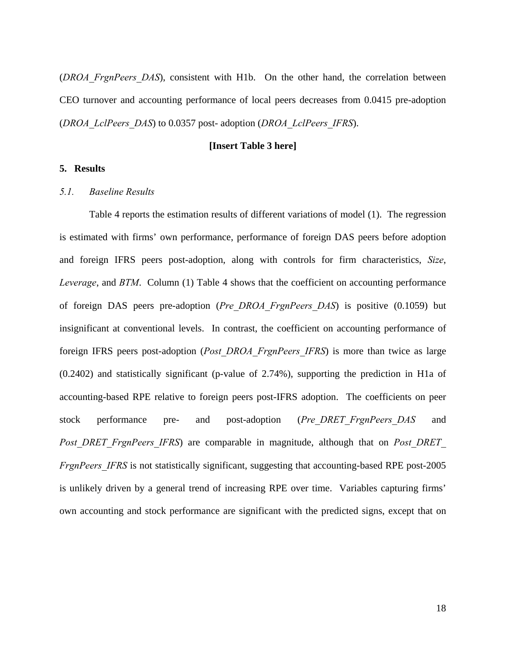(*DROA\_FrgnPeers\_DAS*), consistent with H1b. On the other hand, the correlation between CEO turnover and accounting performance of local peers decreases from 0.0415 pre-adoption (*DROA\_LclPeers\_DAS*) to 0.0357 post- adoption (*DROA\_LclPeers\_IFRS*).

### **[Insert Table 3 here]**

### **5. Results**

### *5.1. Baseline Results*

Table 4 reports the estimation results of different variations of model (1). The regression is estimated with firms' own performance, performance of foreign DAS peers before adoption and foreign IFRS peers post-adoption, along with controls for firm characteristics, *Size*, *Leverage*, and *BTM*. Column (1) Table 4 shows that the coefficient on accounting performance of foreign DAS peers pre-adoption (*Pre\_DROA\_FrgnPeers\_DAS*) is positive (0.1059) but insignificant at conventional levels. In contrast, the coefficient on accounting performance of foreign IFRS peers post-adoption (*Post\_DROA\_FrgnPeers\_IFRS*) is more than twice as large (0.2402) and statistically significant (p-value of 2.74%), supporting the prediction in H1a of accounting-based RPE relative to foreign peers post-IFRS adoption. The coefficients on peer stock performance pre- and post-adoption (*Pre\_DRET\_FrgnPeers\_DAS* and *Post DRET FrgnPeers IFRS*) are comparable in magnitude, although that on *Post DRET FrgnPeers IFRS* is not statistically significant, suggesting that accounting-based RPE post-2005 is unlikely driven by a general trend of increasing RPE over time. Variables capturing firms' own accounting and stock performance are significant with the predicted signs, except that on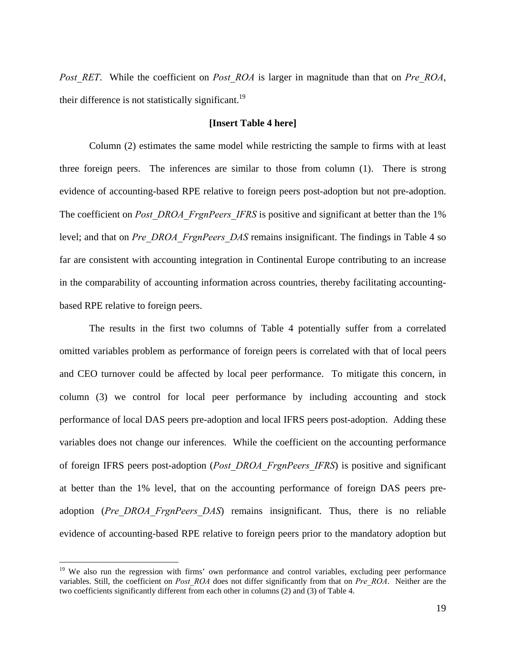*Post RET.* While the coefficient on *Post ROA* is larger in magnitude than that on *Pre ROA*, their difference is not statistically significant.<sup>19</sup>

### **[Insert Table 4 here]**

Column (2) estimates the same model while restricting the sample to firms with at least three foreign peers. The inferences are similar to those from column (1). There is strong evidence of accounting-based RPE relative to foreign peers post-adoption but not pre-adoption. The coefficient on *Post DROA FrgnPeers IFRS* is positive and significant at better than the 1% level; and that on *Pre\_DROA\_FrgnPeers\_DAS* remains insignificant. The findings in Table 4 so far are consistent with accounting integration in Continental Europe contributing to an increase in the comparability of accounting information across countries, thereby facilitating accountingbased RPE relative to foreign peers.

The results in the first two columns of Table 4 potentially suffer from a correlated omitted variables problem as performance of foreign peers is correlated with that of local peers and CEO turnover could be affected by local peer performance. To mitigate this concern, in column (3) we control for local peer performance by including accounting and stock performance of local DAS peers pre-adoption and local IFRS peers post-adoption. Adding these variables does not change our inferences. While the coefficient on the accounting performance of foreign IFRS peers post-adoption (*Post\_DROA\_FrgnPeers\_IFRS*) is positive and significant at better than the 1% level, that on the accounting performance of foreign DAS peers preadoption (*Pre\_DROA\_FrgnPeers\_DAS*) remains insignificant. Thus, there is no reliable evidence of accounting-based RPE relative to foreign peers prior to the mandatory adoption but

1

<sup>&</sup>lt;sup>19</sup> We also run the regression with firms' own performance and control variables, excluding peer performance variables. Still, the coefficient on *Post\_ROA* does not differ significantly from that on *Pre\_ROA*. Neither are the two coefficients significantly different from each other in columns (2) and (3) of Table 4.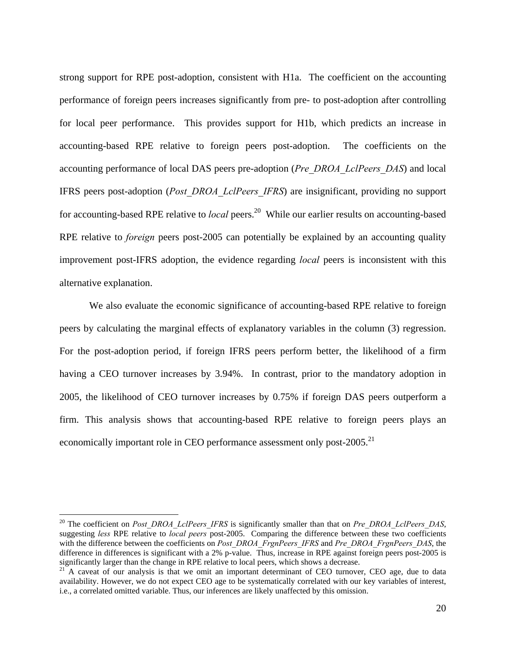strong support for RPE post-adoption, consistent with H1a. The coefficient on the accounting performance of foreign peers increases significantly from pre- to post-adoption after controlling for local peer performance. This provides support for H1b, which predicts an increase in accounting-based RPE relative to foreign peers post-adoption. The coefficients on the accounting performance of local DAS peers pre-adoption (*Pre\_DROA\_LclPeers\_DAS*) and local IFRS peers post-adoption (*Post\_DROA\_LclPeers\_IFRS*) are insignificant, providing no support for accounting-based RPE relative to *local* peers.20 While our earlier results on accounting-based RPE relative to *foreign* peers post-2005 can potentially be explained by an accounting quality improvement post-IFRS adoption, the evidence regarding *local* peers is inconsistent with this alternative explanation.

We also evaluate the economic significance of accounting-based RPE relative to foreign peers by calculating the marginal effects of explanatory variables in the column (3) regression. For the post-adoption period, if foreign IFRS peers perform better, the likelihood of a firm having a CEO turnover increases by 3.94%. In contrast, prior to the mandatory adoption in 2005, the likelihood of CEO turnover increases by 0.75% if foreign DAS peers outperform a firm. This analysis shows that accounting-based RPE relative to foreign peers plays an economically important role in CEO performance assessment only post-2005.<sup>21</sup>

1

<sup>&</sup>lt;sup>20</sup> The coefficient on *Post\_DROA\_LclPeers\_IFRS* is significantly smaller than that on *Pre\_DROA\_LclPeers\_DAS*, suggesting *less* RPE relative to *local peers* post-2005. Comparing the difference between these two coefficients with the difference between the coefficients on *Post\_DROA\_FrgnPeers\_IFRS* and *Pre\_DROA\_FrgnPeers\_DAS*, the difference in differences is significant with a 2% p-value. Thus, increase in RPE against foreign peers post-2005 is significantly larger than the change in RPE relative to local peers, which shows a decrease.<br><sup>21</sup> A caveat of our analysis is that we omit an important determinant of CEO turnover, CEO age, due to data

availability. However, we do not expect CEO age to be systematically correlated with our key variables of interest, i.e., a correlated omitted variable. Thus, our inferences are likely unaffected by this omission.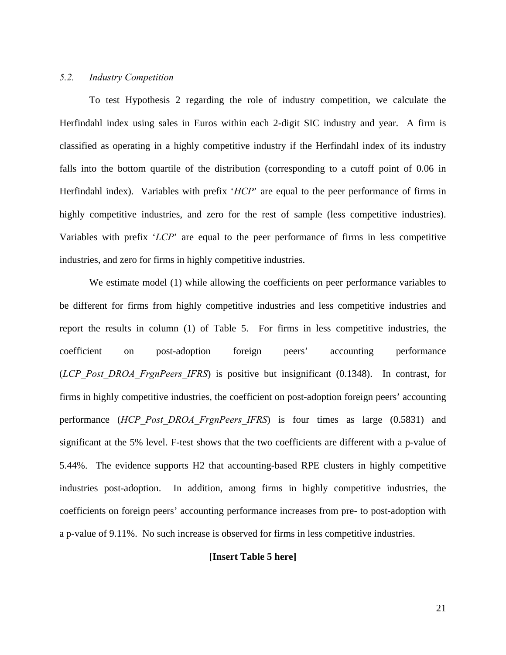# *5.2. Industry Competition*

 To test Hypothesis 2 regarding the role of industry competition, we calculate the Herfindahl index using sales in Euros within each 2-digit SIC industry and year. A firm is classified as operating in a highly competitive industry if the Herfindahl index of its industry falls into the bottom quartile of the distribution (corresponding to a cutoff point of 0.06 in Herfindahl index). Variables with prefix '*HCP*' are equal to the peer performance of firms in highly competitive industries, and zero for the rest of sample (less competitive industries). Variables with prefix '*LCP*' are equal to the peer performance of firms in less competitive industries, and zero for firms in highly competitive industries.

We estimate model (1) while allowing the coefficients on peer performance variables to be different for firms from highly competitive industries and less competitive industries and report the results in column (1) of Table 5. For firms in less competitive industries, the coefficient on post-adoption foreign peers' accounting performance (*LCP\_Post\_DROA\_FrgnPeers\_IFRS*) is positive but insignificant (0.1348). In contrast, for firms in highly competitive industries, the coefficient on post-adoption foreign peers' accounting performance (*HCP\_Post\_DROA\_FrgnPeers\_IFRS*) is four times as large (0.5831) and significant at the 5% level. F-test shows that the two coefficients are different with a p-value of 5.44%. The evidence supports H2 that accounting-based RPE clusters in highly competitive industries post-adoption. In addition, among firms in highly competitive industries, the coefficients on foreign peers' accounting performance increases from pre- to post-adoption with a p-value of 9.11%. No such increase is observed for firms in less competitive industries.

### **[Insert Table 5 here]**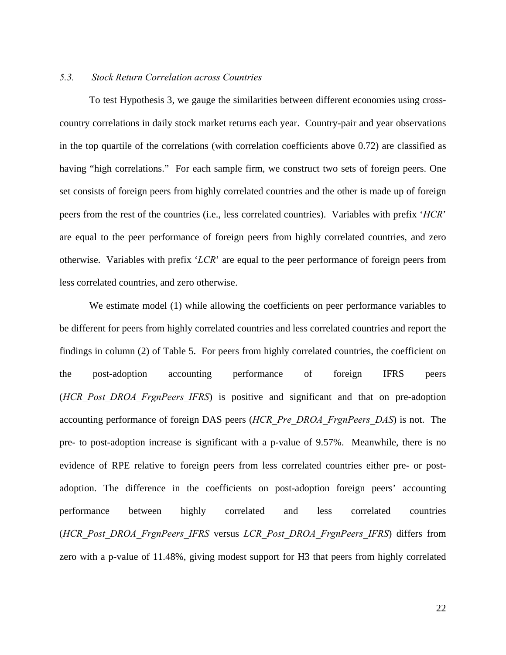### *5.3. Stock Return Correlation across Countries*

 To test Hypothesis 3, we gauge the similarities between different economies using crosscountry correlations in daily stock market returns each year. Country-pair and year observations in the top quartile of the correlations (with correlation coefficients above 0.72) are classified as having "high correlations." For each sample firm, we construct two sets of foreign peers. One set consists of foreign peers from highly correlated countries and the other is made up of foreign peers from the rest of the countries (i.e., less correlated countries). Variables with prefix '*HCR*' are equal to the peer performance of foreign peers from highly correlated countries, and zero otherwise. Variables with prefix '*LCR*' are equal to the peer performance of foreign peers from less correlated countries, and zero otherwise.

We estimate model (1) while allowing the coefficients on peer performance variables to be different for peers from highly correlated countries and less correlated countries and report the findings in column (2) of Table 5. For peers from highly correlated countries, the coefficient on the post-adoption accounting performance of foreign IFRS peers (*HCR\_Post\_DROA\_FrgnPeers\_IFRS*) is positive and significant and that on pre-adoption accounting performance of foreign DAS peers (*HCR\_Pre\_DROA\_FrgnPeers\_DAS*) is not. The pre- to post-adoption increase is significant with a p-value of 9.57%. Meanwhile, there is no evidence of RPE relative to foreign peers from less correlated countries either pre- or postadoption. The difference in the coefficients on post-adoption foreign peers' accounting performance between highly correlated and less correlated countries (*HCR\_Post\_DROA\_FrgnPeers\_IFRS* versus *LCR\_Post\_DROA\_FrgnPeers\_IFRS*) differs from zero with a p-value of 11.48%, giving modest support for H3 that peers from highly correlated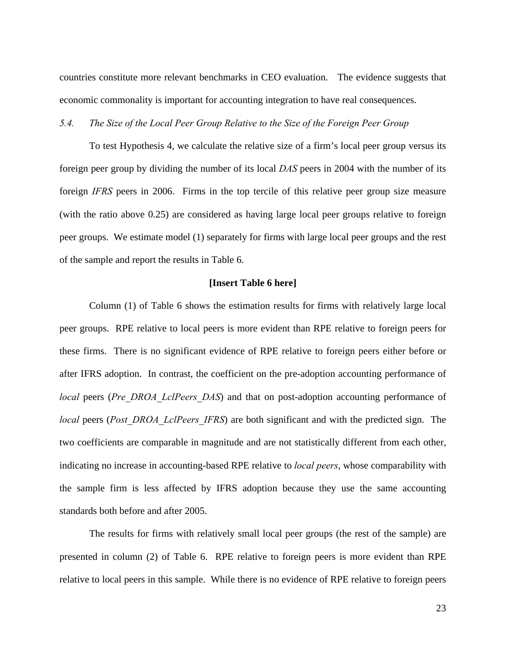countries constitute more relevant benchmarks in CEO evaluation. The evidence suggests that economic commonality is important for accounting integration to have real consequences.

*5.4. The Size of the Local Peer Group Relative to the Size of the Foreign Peer Group* 

To test Hypothesis 4, we calculate the relative size of a firm's local peer group versus its foreign peer group by dividing the number of its local *DAS* peers in 2004 with the number of its foreign *IFRS* peers in 2006. Firms in the top tercile of this relative peer group size measure (with the ratio above 0.25) are considered as having large local peer groups relative to foreign peer groups. We estimate model (1) separately for firms with large local peer groups and the rest of the sample and report the results in Table 6.

#### **[Insert Table 6 here]**

Column (1) of Table 6 shows the estimation results for firms with relatively large local peer groups. RPE relative to local peers is more evident than RPE relative to foreign peers for these firms. There is no significant evidence of RPE relative to foreign peers either before or after IFRS adoption. In contrast, the coefficient on the pre-adoption accounting performance of *local* peers (*Pre\_DROA\_LclPeers\_DAS*) and that on post-adoption accounting performance of *local* peers (*Post DROA LclPeers IFRS*) are both significant and with the predicted sign. The two coefficients are comparable in magnitude and are not statistically different from each other, indicating no increase in accounting-based RPE relative to *local peers*, whose comparability with the sample firm is less affected by IFRS adoption because they use the same accounting standards both before and after 2005.

The results for firms with relatively small local peer groups (the rest of the sample) are presented in column (2) of Table 6. RPE relative to foreign peers is more evident than RPE relative to local peers in this sample. While there is no evidence of RPE relative to foreign peers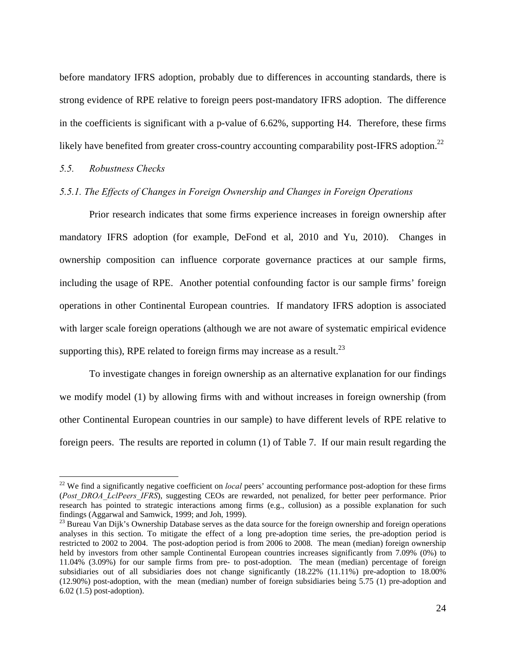before mandatory IFRS adoption, probably due to differences in accounting standards, there is strong evidence of RPE relative to foreign peers post-mandatory IFRS adoption. The difference in the coefficients is significant with a p-value of 6.62%, supporting H4. Therefore, these firms likely have benefited from greater cross-country accounting comparability post-IFRS adoption.<sup>22</sup>

# *5.5. Robustness Checks*

1

### *5.5.1. The Effects of Changes in Foreign Ownership and Changes in Foreign Operations*

Prior research indicates that some firms experience increases in foreign ownership after mandatory IFRS adoption (for example, DeFond et al, 2010 and Yu, 2010). Changes in ownership composition can influence corporate governance practices at our sample firms, including the usage of RPE. Another potential confounding factor is our sample firms' foreign operations in other Continental European countries. If mandatory IFRS adoption is associated with larger scale foreign operations (although we are not aware of systematic empirical evidence supporting this), RPE related to foreign firms may increase as a result.<sup>23</sup>

To investigate changes in foreign ownership as an alternative explanation for our findings we modify model (1) by allowing firms with and without increases in foreign ownership (from other Continental European countries in our sample) to have different levels of RPE relative to foreign peers. The results are reported in column (1) of Table 7. If our main result regarding the

<sup>&</sup>lt;sup>22</sup> We find a significantly negative coefficient on *local* peers' accounting performance post-adoption for these firms (Post DROA LclPeers IFRS), suggesting CEOs are rewarded, not penalized, for better peer performance. Prior research has pointed to strategic interactions among firms (e.g., collusion) as a possible explanation for such findings (Aggarwal and Samwick, 1999; and Joh, 1999).

<sup>&</sup>lt;sup>23</sup> Bureau Van Dijk's Ownership Database serves as the data source for the foreign ownership and foreign operations analyses in this section. To mitigate the effect of a long pre-adoption time series, the pre-adoption period is restricted to 2002 to 2004. The post-adoption period is from 2006 to 2008. The mean (median) foreign ownership held by investors from other sample Continental European countries increases significantly from 7.09% (0%) to 11.04% (3.09%) for our sample firms from pre- to post-adoption. The mean (median) percentage of foreign subsidiaries out of all subsidiaries does not change significantly (18.22% (11.11%) pre-adoption to 18.00% (12.90%) post-adoption, with the mean (median) number of foreign subsidiaries being 5.75 (1) pre-adoption and 6.02 (1.5) post-adoption).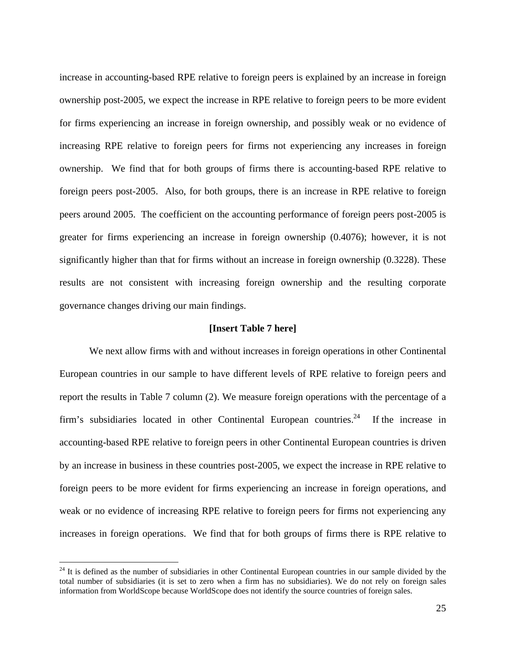increase in accounting-based RPE relative to foreign peers is explained by an increase in foreign ownership post-2005, we expect the increase in RPE relative to foreign peers to be more evident for firms experiencing an increase in foreign ownership, and possibly weak or no evidence of increasing RPE relative to foreign peers for firms not experiencing any increases in foreign ownership. We find that for both groups of firms there is accounting-based RPE relative to foreign peers post-2005. Also, for both groups, there is an increase in RPE relative to foreign peers around 2005. The coefficient on the accounting performance of foreign peers post-2005 is greater for firms experiencing an increase in foreign ownership (0.4076); however, it is not significantly higher than that for firms without an increase in foreign ownership (0.3228). These results are not consistent with increasing foreign ownership and the resulting corporate governance changes driving our main findings.

### **[Insert Table 7 here]**

We next allow firms with and without increases in foreign operations in other Continental European countries in our sample to have different levels of RPE relative to foreign peers and report the results in Table 7 column (2). We measure foreign operations with the percentage of a firm's subsidiaries located in other Continental European countries.<sup>24</sup> If the increase in accounting-based RPE relative to foreign peers in other Continental European countries is driven by an increase in business in these countries post-2005, we expect the increase in RPE relative to foreign peers to be more evident for firms experiencing an increase in foreign operations, and weak or no evidence of increasing RPE relative to foreign peers for firms not experiencing any increases in foreign operations. We find that for both groups of firms there is RPE relative to

1

 $24$  It is defined as the number of subsidiaries in other Continental European countries in our sample divided by the total number of subsidiaries (it is set to zero when a firm has no subsidiaries). We do not rely on foreign sales information from WorldScope because WorldScope does not identify the source countries of foreign sales.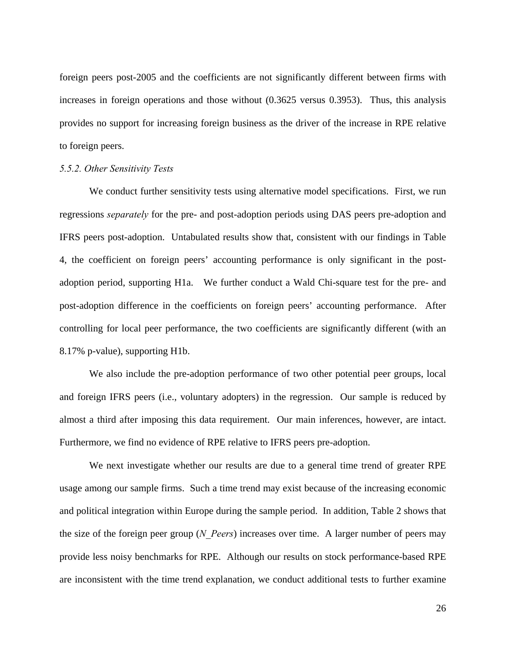foreign peers post-2005 and the coefficients are not significantly different between firms with increases in foreign operations and those without (0.3625 versus 0.3953). Thus, this analysis provides no support for increasing foreign business as the driver of the increase in RPE relative to foreign peers.

#### *5.5.2. Other Sensitivity Tests*

We conduct further sensitivity tests using alternative model specifications. First, we run regressions *separately* for the pre- and post-adoption periods using DAS peers pre-adoption and IFRS peers post-adoption. Untabulated results show that, consistent with our findings in Table 4, the coefficient on foreign peers' accounting performance is only significant in the postadoption period, supporting H1a. We further conduct a Wald Chi-square test for the pre- and post-adoption difference in the coefficients on foreign peers' accounting performance. After controlling for local peer performance, the two coefficients are significantly different (with an 8.17% p-value), supporting H1b.

We also include the pre-adoption performance of two other potential peer groups, local and foreign IFRS peers (i.e., voluntary adopters) in the regression. Our sample is reduced by almost a third after imposing this data requirement. Our main inferences, however, are intact. Furthermore, we find no evidence of RPE relative to IFRS peers pre-adoption.

We next investigate whether our results are due to a general time trend of greater RPE usage among our sample firms. Such a time trend may exist because of the increasing economic and political integration within Europe during the sample period. In addition, Table 2 shows that the size of the foreign peer group (*N\_Peers*) increases over time. A larger number of peers may provide less noisy benchmarks for RPE. Although our results on stock performance-based RPE are inconsistent with the time trend explanation, we conduct additional tests to further examine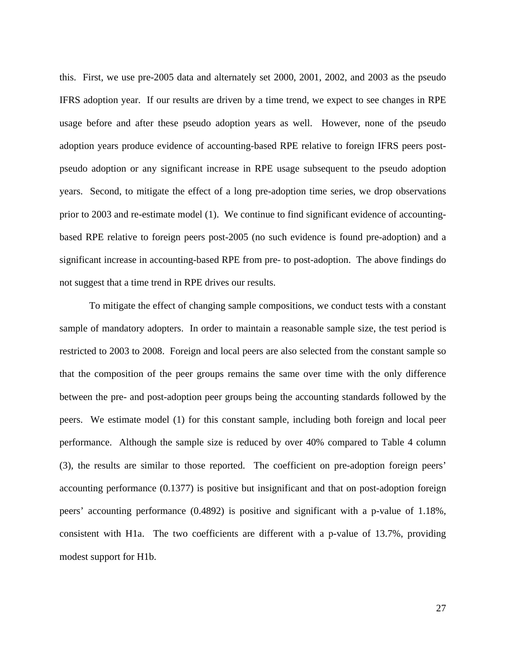this. First, we use pre-2005 data and alternately set 2000, 2001, 2002, and 2003 as the pseudo IFRS adoption year. If our results are driven by a time trend, we expect to see changes in RPE usage before and after these pseudo adoption years as well. However, none of the pseudo adoption years produce evidence of accounting-based RPE relative to foreign IFRS peers postpseudo adoption or any significant increase in RPE usage subsequent to the pseudo adoption years. Second, to mitigate the effect of a long pre-adoption time series, we drop observations prior to 2003 and re-estimate model (1). We continue to find significant evidence of accountingbased RPE relative to foreign peers post-2005 (no such evidence is found pre-adoption) and a significant increase in accounting-based RPE from pre- to post-adoption. The above findings do not suggest that a time trend in RPE drives our results.

To mitigate the effect of changing sample compositions, we conduct tests with a constant sample of mandatory adopters. In order to maintain a reasonable sample size, the test period is restricted to 2003 to 2008. Foreign and local peers are also selected from the constant sample so that the composition of the peer groups remains the same over time with the only difference between the pre- and post-adoption peer groups being the accounting standards followed by the peers. We estimate model (1) for this constant sample, including both foreign and local peer performance. Although the sample size is reduced by over 40% compared to Table 4 column (3), the results are similar to those reported. The coefficient on pre-adoption foreign peers' accounting performance (0.1377) is positive but insignificant and that on post-adoption foreign peers' accounting performance (0.4892) is positive and significant with a p-value of 1.18%, consistent with H1a. The two coefficients are different with a p-value of 13.7%, providing modest support for H1b.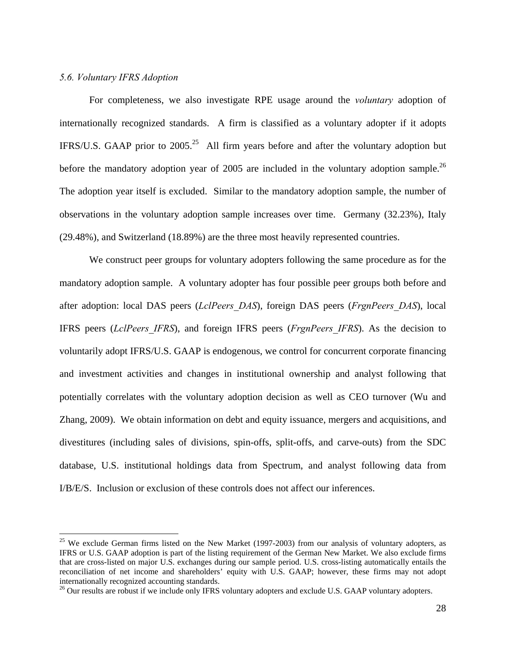### *5.6. Voluntary IFRS Adoption*

1

 For completeness, we also investigate RPE usage around the *voluntary* adoption of internationally recognized standards. A firm is classified as a voluntary adopter if it adopts IFRS/U.S. GAAP prior to  $2005<sup>25</sup>$  All firm years before and after the voluntary adoption but before the mandatory adoption year of 2005 are included in the voluntary adoption sample.<sup>26</sup> The adoption year itself is excluded. Similar to the mandatory adoption sample, the number of observations in the voluntary adoption sample increases over time. Germany (32.23%), Italy (29.48%), and Switzerland (18.89%) are the three most heavily represented countries.

We construct peer groups for voluntary adopters following the same procedure as for the mandatory adoption sample. A voluntary adopter has four possible peer groups both before and after adoption: local DAS peers (*LclPeers\_DAS*), foreign DAS peers (*FrgnPeers\_DAS*), local IFRS peers (*LclPeers\_IFRS*), and foreign IFRS peers (*FrgnPeers\_IFRS*). As the decision to voluntarily adopt IFRS/U.S. GAAP is endogenous, we control for concurrent corporate financing and investment activities and changes in institutional ownership and analyst following that potentially correlates with the voluntary adoption decision as well as CEO turnover (Wu and Zhang, 2009). We obtain information on debt and equity issuance, mergers and acquisitions, and divestitures (including sales of divisions, spin-offs, split-offs, and carve-outs) from the SDC database, U.S. institutional holdings data from Spectrum, and analyst following data from I/B/E/S. Inclusion or exclusion of these controls does not affect our inferences.

 $25$  We exclude German firms listed on the New Market (1997-2003) from our analysis of voluntary adopters, as IFRS or U.S. GAAP adoption is part of the listing requirement of the German New Market. We also exclude firms that are cross-listed on major U.S. exchanges during our sample period. U.S. cross-listing automatically entails the reconciliation of net income and shareholders' equity with U.S. GAAP; however, these firms may not adopt internationally recognized accounting standards.

<sup>&</sup>lt;sup>26</sup> Our results are robust if we include only IFRS voluntary adopters and exclude U.S. GAAP voluntary adopters.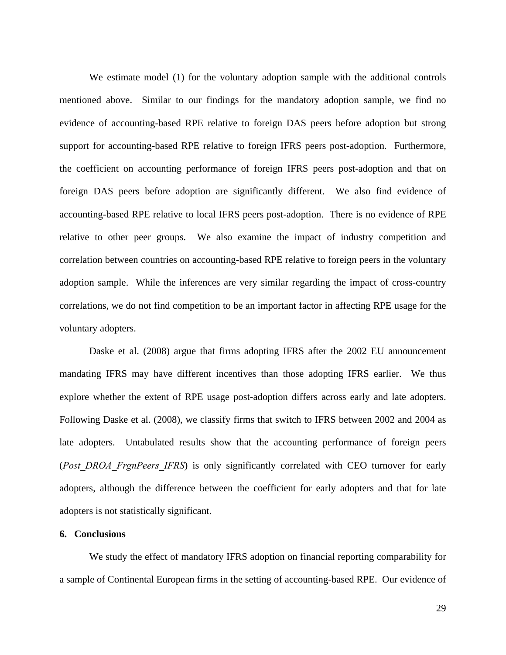We estimate model (1) for the voluntary adoption sample with the additional controls mentioned above. Similar to our findings for the mandatory adoption sample, we find no evidence of accounting-based RPE relative to foreign DAS peers before adoption but strong support for accounting-based RPE relative to foreign IFRS peers post-adoption. Furthermore, the coefficient on accounting performance of foreign IFRS peers post-adoption and that on foreign DAS peers before adoption are significantly different. We also find evidence of accounting-based RPE relative to local IFRS peers post-adoption. There is no evidence of RPE relative to other peer groups. We also examine the impact of industry competition and correlation between countries on accounting-based RPE relative to foreign peers in the voluntary adoption sample. While the inferences are very similar regarding the impact of cross-country correlations, we do not find competition to be an important factor in affecting RPE usage for the voluntary adopters.

Daske et al. (2008) argue that firms adopting IFRS after the 2002 EU announcement mandating IFRS may have different incentives than those adopting IFRS earlier. We thus explore whether the extent of RPE usage post-adoption differs across early and late adopters. Following Daske et al. (2008), we classify firms that switch to IFRS between 2002 and 2004 as late adopters. Untabulated results show that the accounting performance of foreign peers (*Post\_DROA\_FrgnPeers\_IFRS*) is only significantly correlated with CEO turnover for early adopters, although the difference between the coefficient for early adopters and that for late adopters is not statistically significant.

# **6. Conclusions**

We study the effect of mandatory IFRS adoption on financial reporting comparability for a sample of Continental European firms in the setting of accounting-based RPE. Our evidence of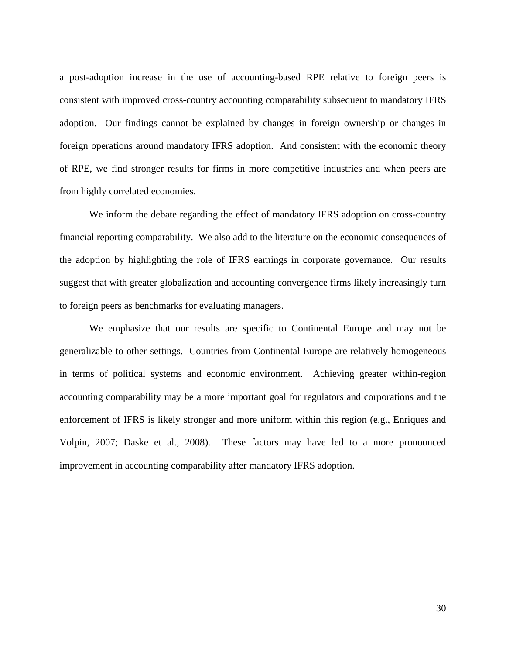a post-adoption increase in the use of accounting-based RPE relative to foreign peers is consistent with improved cross-country accounting comparability subsequent to mandatory IFRS adoption. Our findings cannot be explained by changes in foreign ownership or changes in foreign operations around mandatory IFRS adoption. And consistent with the economic theory of RPE, we find stronger results for firms in more competitive industries and when peers are from highly correlated economies.

 We inform the debate regarding the effect of mandatory IFRS adoption on cross-country financial reporting comparability. We also add to the literature on the economic consequences of the adoption by highlighting the role of IFRS earnings in corporate governance. Our results suggest that with greater globalization and accounting convergence firms likely increasingly turn to foreign peers as benchmarks for evaluating managers.

We emphasize that our results are specific to Continental Europe and may not be generalizable to other settings. Countries from Continental Europe are relatively homogeneous in terms of political systems and economic environment. Achieving greater within-region accounting comparability may be a more important goal for regulators and corporations and the enforcement of IFRS is likely stronger and more uniform within this region (e.g., Enriques and Volpin, 2007; Daske et al., 2008). These factors may have led to a more pronounced improvement in accounting comparability after mandatory IFRS adoption.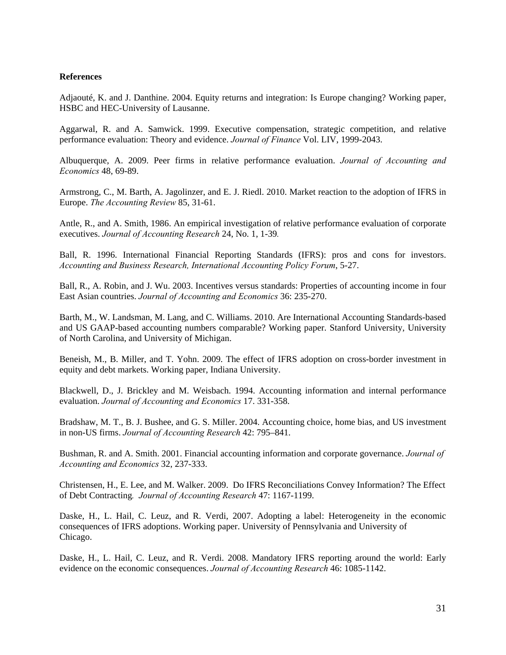### **References**

Adjaouté, K. and J. Danthine. 2004. Equity returns and integration: Is Europe changing? Working paper, HSBC and HEC-University of Lausanne.

Aggarwal, R. and A. Samwick. 1999. Executive compensation, strategic competition, and relative performance evaluation: Theory and evidence. *Journal of Finance* Vol. LIV, 1999-2043.

Albuquerque, A. 2009. Peer firms in relative performance evaluation. *Journal of Accounting and Economics* 48, 69-89.

Armstrong, C., M. Barth, A. Jagolinzer, and E. J. Riedl. 2010. Market reaction to the adoption of IFRS in Europe. *The Accounting Review* 85, 31-61.

Antle, R., and A. Smith, 1986. An empirical investigation of relative performance evaluation of corporate executives. *Journal of Accounting Research* 24, No. 1, 1-39*.*

Ball, R. 1996. International Financial Reporting Standards (IFRS): pros and cons for investors. *Accounting and Business Research, International Accounting Policy Forum*, 5-27.

Ball, R., A. Robin, and J. Wu. 2003. Incentives versus standards: Properties of accounting income in four East Asian countries. *Journal of Accounting and Economics* 36: 235-270.

Barth, M., W. Landsman, M. Lang, and C. Williams. 2010. Are International Accounting Standards-based and US GAAP-based accounting numbers comparable? Working paper. Stanford University, University of North Carolina, and University of Michigan.

Beneish, M., B. Miller, and T. Yohn. 2009. The effect of IFRS adoption on cross-border investment in equity and debt markets. Working paper, Indiana University.

Blackwell, D., J. Brickley and M. Weisbach. 1994. Accounting information and internal performance evaluation. *Journal of Accounting and Economics* 17. 331-358.

Bradshaw, M. T., B. J. Bushee, and G. S. Miller. 2004. Accounting choice, home bias, and US investment in non-US firms. *Journal of Accounting Research* 42: 795–841.

Bushman, R. and A. Smith. 2001. Financial accounting information and corporate governance. *Journal of Accounting and Economics* 32, 237-333.

Christensen, H., E. Lee, and M. Walker. 2009. Do IFRS Reconciliations Convey Information? The Effect of Debt Contracting*. Journal of Accounting Research* 47: 1167-1199.

Daske, H., L. Hail, C. Leuz, and R. Verdi, 2007. Adopting a label: Heterogeneity in the economic consequences of IFRS adoptions. Working paper. University of Pennsylvania and University of Chicago.

Daske, H., L. Hail, C. Leuz, and R. Verdi. 2008. Mandatory IFRS reporting around the world: Early evidence on the economic consequences. *Journal of Accounting Research* 46: 1085-1142.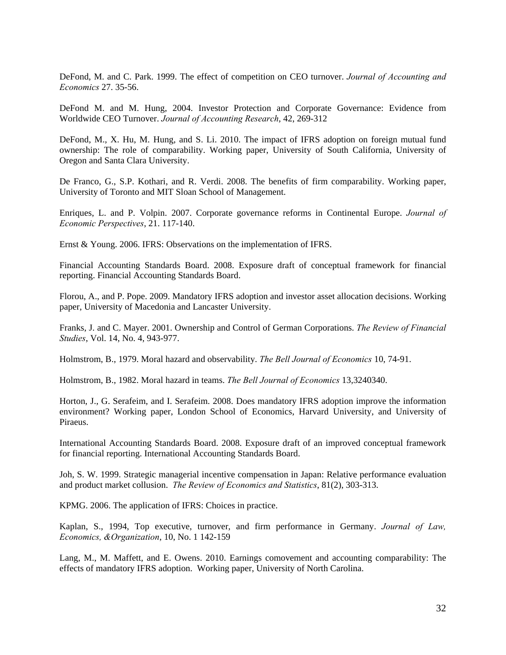DeFond, M. and C. Park. 1999. The effect of competition on CEO turnover. *Journal of Accounting and Economics* 27. 35-56.

DeFond M. and M. Hung, 2004. Investor Protection and Corporate Governance: Evidence from Worldwide CEO Turnover. *Journal of Accounting Research*, 42, 269-312

DeFond, M., X. Hu, M. Hung, and S. Li. 2010. The impact of IFRS adoption on foreign mutual fund ownership: The role of comparability. Working paper, University of South California, University of Oregon and Santa Clara University.

De Franco, G., S.P. Kothari, and R. Verdi. 2008. The benefits of firm comparability. Working paper, University of Toronto and MIT Sloan School of Management.

Enriques, L. and P. Volpin. 2007. Corporate governance reforms in Continental Europe. *Journal of Economic Perspectives*, 21. 117-140.

Ernst & Young. 2006. IFRS: Observations on the implementation of IFRS.

Financial Accounting Standards Board. 2008. Exposure draft of conceptual framework for financial reporting. Financial Accounting Standards Board.

Florou, A., and P. Pope. 2009. Mandatory IFRS adoption and investor asset allocation decisions. Working paper, University of Macedonia and Lancaster University.

Franks, J. and C. Mayer. 2001. Ownership and Control of German Corporations. *The Review of Financial Studies*, Vol. 14, No. 4, 943-977.

Holmstrom, B., 1979. Moral hazard and observability. *The Bell Journal of Economics* 10, 74-91.

Holmstrom, B., 1982. Moral hazard in teams. *The Bell Journal of Economics* 13,3240340.

Horton, J., G. Serafeim, and I. Serafeim. 2008. Does mandatory IFRS adoption improve the information environment? Working paper, London School of Economics, Harvard University, and University of Piraeus.

International Accounting Standards Board. 2008. Exposure draft of an improved conceptual framework for financial reporting. International Accounting Standards Board.

Joh, S. W. 1999. Strategic managerial incentive compensation in Japan: Relative performance evaluation and product market collusion. *The Review of Economics and Statistics*, 81(2), 303-313.

KPMG. 2006. The application of IFRS: Choices in practice.

Kaplan, S., 1994, Top executive, turnover, and firm performance in Germany. *Journal of Law, Economics, &Organization*, 10, No. 1 142-159

Lang, M., M. Maffett, and E. Owens. 2010. Earnings comovement and accounting comparability: The effects of mandatory IFRS adoption. Working paper, University of North Carolina.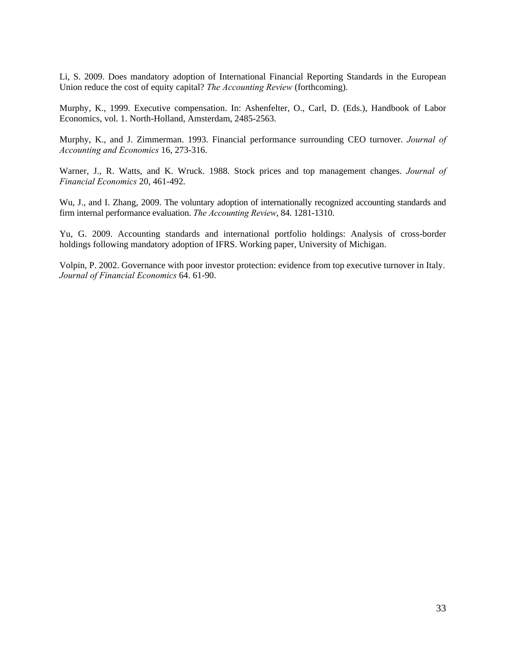Li, S. 2009. Does mandatory adoption of International Financial Reporting Standards in the European Union reduce the cost of equity capital? *The Accounting Review* (forthcoming).

Murphy, K., 1999. Executive compensation. In: Ashenfelter, O., Carl, D. (Eds.), Handbook of Labor Economics, vol. 1. North-Holland, Amsterdam, 2485-2563.

Murphy, K., and J. Zimmerman. 1993. Financial performance surrounding CEO turnover. *Journal of Accounting and Economics* 16, 273-316.

Warner, J., R. Watts, and K. Wruck. 1988. Stock prices and top management changes. *Journal of Financial Economics* 20, 461-492.

Wu, J., and I. Zhang, 2009. The voluntary adoption of internationally recognized accounting standards and firm internal performance evaluation. *The Accounting Review*, 84. 1281-1310.

Yu, G. 2009. Accounting standards and international portfolio holdings: Analysis of cross-border holdings following mandatory adoption of IFRS. Working paper, University of Michigan.

Volpin, P. 2002. Governance with poor investor protection: evidence from top executive turnover in Italy. *Journal of Financial Economics* 64. 61-90.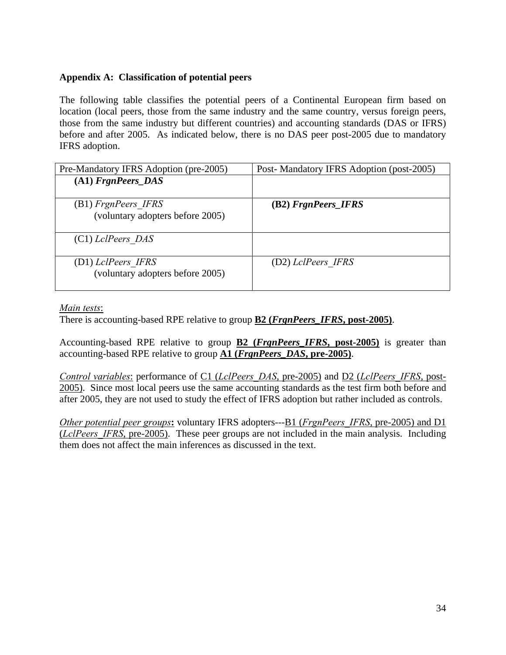# **Appendix A: Classification of potential peers**

The following table classifies the potential peers of a Continental European firm based on location (local peers, those from the same industry and the same country, versus foreign peers, those from the same industry but different countries) and accounting standards (DAS or IFRS) before and after 2005. As indicated below, there is no DAS peer post-2005 due to mandatory IFRS adoption.

| Pre-Mandatory IFRS Adoption (pre-2005)                  | Post-Mandatory IFRS Adoption (post-2005) |
|---------------------------------------------------------|------------------------------------------|
| $(A1)$ FrgnPeers DAS                                    |                                          |
| (B1) FrgnPeers IFRS<br>(voluntary adopters before 2005) | (B2) FrgnPeers_IFRS                      |
| $(C1)$ LclPeers DAS                                     |                                          |
| (D1) LclPeers IFRS<br>(voluntary adopters before 2005)  | (D2) LclPeers IFRS                       |

*Main tests*:

There is accounting-based RPE relative to group **B2 (***FrgnPeers\_IFRS***, post-2005)**.

Accounting-based RPE relative to group **B2 (***FrgnPeers\_IFRS***, post-2005)** is greater than accounting-based RPE relative to group **A1 (***FrgnPeers\_DAS***, pre-2005)**.

*Control variables*: performance of C1 (*LclPeers\_DAS*, pre-2005) and D2 (*LclPeers\_IFRS*, post-2005). Since most local peers use the same accounting standards as the test firm both before and after 2005, they are not used to study the effect of IFRS adoption but rather included as controls.

*Other potential peer groups***:** voluntary IFRS adopters---B1 (*FrgnPeers\_IFRS*, pre-2005) and D1 (*LclPeers\_IFRS*, pre-2005). These peer groups are not included in the main analysis. Including them does not affect the main inferences as discussed in the text.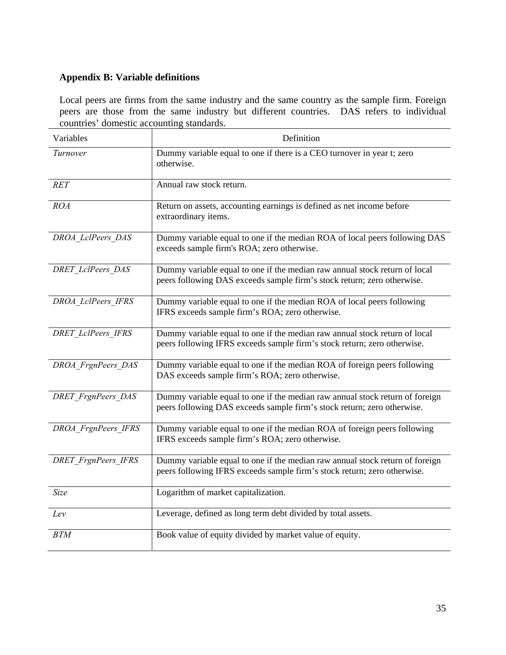# **Appendix B: Variable definitions**

Local peers are firms from the same industry and the same country as the sample firm. Foreign peers are those from the same industry but different countries. DAS refers to individual countries' domestic accounting standards.

| Variables                  | Definition                                                                                                                                               |
|----------------------------|----------------------------------------------------------------------------------------------------------------------------------------------------------|
| Turnover                   | Dummy variable equal to one if there is a CEO turnover in year t; zero<br>otherwise.                                                                     |
| <b>RET</b>                 | Annual raw stock return.                                                                                                                                 |
| <b>ROA</b>                 | Return on assets, accounting earnings is defined as net income before<br>extraordinary items.                                                            |
| DROA LclPeers DAS          | Dummy variable equal to one if the median ROA of local peers following DAS<br>exceeds sample firm's ROA; zero otherwise.                                 |
| <b>DRET</b> LclPeers DAS   | Dummy variable equal to one if the median raw annual stock return of local<br>peers following DAS exceeds sample firm's stock return; zero otherwise.    |
| DROA LclPeers IFRS         | Dummy variable equal to one if the median ROA of local peers following<br>IFRS exceeds sample firm's ROA; zero otherwise.                                |
| <b>DRET</b> LclPeers IFRS  | Dummy variable equal to one if the median raw annual stock return of local<br>peers following IFRS exceeds sample firm's stock return; zero otherwise.   |
| DROA FrgnPeers DAS         | Dummy variable equal to one if the median ROA of foreign peers following<br>DAS exceeds sample firm's ROA; zero otherwise.                               |
| <b>DRET</b> FrgnPeers DAS  | Dummy variable equal to one if the median raw annual stock return of foreign<br>peers following DAS exceeds sample firm's stock return; zero otherwise.  |
| DROA FrgnPeers IFRS        | Dummy variable equal to one if the median ROA of foreign peers following<br>IFRS exceeds sample firm's ROA; zero otherwise.                              |
| <b>DRET</b> FrgnPeers IFRS | Dummy variable equal to one if the median raw annual stock return of foreign<br>peers following IFRS exceeds sample firm's stock return; zero otherwise. |
| <b>Size</b>                | Logarithm of market capitalization.                                                                                                                      |
| Lev                        | Leverage, defined as long term debt divided by total assets.                                                                                             |
| <b>BTM</b>                 | Book value of equity divided by market value of equity.                                                                                                  |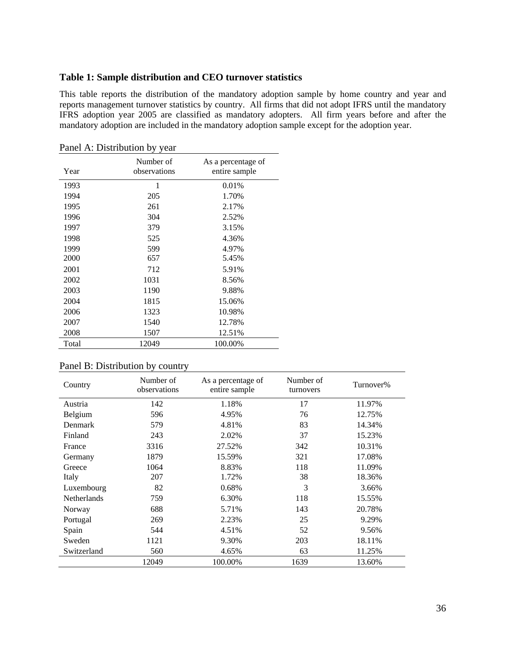# **Table 1: Sample distribution and CEO turnover statistics**

This table reports the distribution of the mandatory adoption sample by home country and year and reports management turnover statistics by country. All firms that did not adopt IFRS until the mandatory IFRS adoption year 2005 are classified as mandatory adopters. All firm years before and after the mandatory adoption are included in the mandatory adoption sample except for the adoption year.

| Year  | Number of<br>observations | As a percentage of<br>entire sample |
|-------|---------------------------|-------------------------------------|
| 1993  | 1                         | 0.01%                               |
| 1994  | 205                       | 1.70%                               |
| 1995  | 261                       | 2.17%                               |
| 1996  | 304                       | 2.52%                               |
| 1997  | 379                       | 3.15%                               |
| 1998  | 525                       | 4.36%                               |
| 1999  | 599                       | 4.97%                               |
| 2000  | 657                       | 5.45%                               |
| 2001  | 712                       | 5.91%                               |
| 2002  | 1031                      | 8.56%                               |
| 2003  | 1190                      | 9.88%                               |
| 2004  | 1815                      | 15.06%                              |
| 2006  | 1323                      | 10.98%                              |
| 2007  | 1540                      | 12.78%                              |
| 2008  | 1507                      | 12.51%                              |
| Total | 12049                     | 100.00%                             |

Panel A: Distribution by year

| Country            | Number of<br>observations | As a percentage of<br>entire sample | Number of<br>turnovers | Turnover% |
|--------------------|---------------------------|-------------------------------------|------------------------|-----------|
| Austria            | 142                       | 1.18%                               | 17                     | 11.97%    |
| Belgium            | 596                       | 4.95%                               | 76                     | 12.75%    |
| Denmark            | 579                       | 4.81%                               | 83                     | 14.34%    |
| Finland            | 243                       | 2.02%                               | 37                     | 15.23%    |
| France             | 3316                      | 27.52%                              | 342                    | 10.31%    |
| Germany            | 1879                      | 15.59%                              | 321                    | 17.08%    |
| Greece             | 1064                      | 8.83%                               | 118                    | 11.09%    |
| Italy              | 207                       | 1.72%                               | 38                     | 18.36%    |
| Luxembourg         | 82                        | 0.68%                               | 3                      | 3.66%     |
| <b>Netherlands</b> | 759                       | 6.30%                               | 118                    | 15.55%    |
| Norway             | 688                       | 5.71%                               | 143                    | 20.78%    |
| Portugal           | 269                       | 2.23%                               | 25                     | 9.29%     |
| Spain              | 544                       | 4.51%                               | 52                     | 9.56%     |
| Sweden             | 1121                      | 9.30%                               | 203                    | 18.11%    |
| Switzerland        | 560                       | 4.65%                               | 63                     | 11.25%    |
|                    | 12049                     | 100.00%                             | 1639                   | 13.60%    |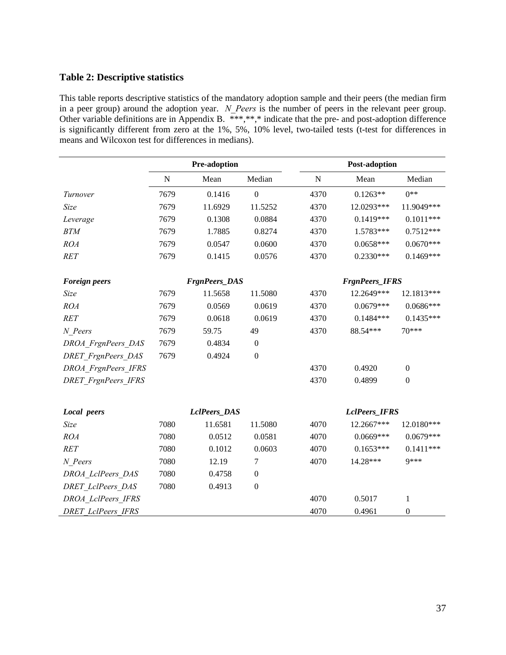# **Table 2: Descriptive statistics**

This table reports descriptive statistics of the mandatory adoption sample and their peers (the median firm in a peer group) around the adoption year. *N\_Peers* is the number of peers in the relevant peer group. Other variable definitions are in Appendix B. \*\*\*,\*\*,\* indicate that the pre- and post-adoption difference is significantly different from zero at the 1%, 5%, 10% level, two-tailed tests (t-test for differences in means and Wilcoxon test for differences in medians).

|                            |           | Pre-adoption         |                  | <b>Post-adoption</b> |                       |                  |
|----------------------------|-----------|----------------------|------------------|----------------------|-----------------------|------------------|
|                            | ${\bf N}$ | Mean                 | Median           | ${\bf N}$            | Mean                  | Median           |
| Turnover                   | 7679      | 0.1416               | $\boldsymbol{0}$ | 4370                 | $0.1263**$            | $0**$            |
| Size                       | 7679      | 11.6929              | 11.5252          | 4370                 | 12.0293***            | 11.9049***       |
| Leverage                   | 7679      | 0.1308               | 0.0884           | 4370                 | $0.1419***$           | $0.1011***$      |
| <b>BTM</b>                 | 7679      | 1.7885               | 0.8274           | 4370                 | 1.5783***             | $0.7512***$      |
| ROA                        | 7679      | 0.0547               | 0.0600           | 4370                 | $0.0658***$           | $0.0670***$      |
| RET                        | 7679      | 0.1415               | 0.0576           | 4370                 | $0.2330***$           | $0.1469***$      |
| <b>Foreign peers</b>       |           | <b>FrgnPeers_DAS</b> |                  |                      | <b>FrgnPeers_IFRS</b> |                  |
| Size                       | 7679      | 11.5658              | 11.5080          | 4370                 | 12.2649***            | 12.1813***       |
| <b>ROA</b>                 | 7679      | 0.0569               | 0.0619           | 4370                 | $0.0679***$           | 0.0686***        |
| <b>RET</b>                 | 7679      | 0.0618               | 0.0619           | 4370                 | $0.1484***$           | $0.1435***$      |
| N Peers                    | 7679      | 59.75                | 49               | 4370                 | 88.54***              | 70***            |
| DROA FrgnPeers DAS         | 7679      | 0.4834               | $\boldsymbol{0}$ |                      |                       |                  |
| <b>DRET</b> FrgnPeers DAS  | 7679      | 0.4924               | $\boldsymbol{0}$ |                      |                       |                  |
| DROA FrgnPeers IFRS        |           |                      |                  | 4370                 | 0.4920                | $\boldsymbol{0}$ |
| <b>DRET</b> FrgnPeers IFRS |           |                      |                  | 4370                 | 0.4899                | $\mathbf{0}$     |
| Local peers                |           | LclPeers_DAS         |                  |                      | LclPeers_IFRS         |                  |
| Size                       | 7080      | 11.6581              | 11.5080          | 4070                 | 12.2667***            | 12.0180***       |
| ROA                        | 7080      | 0.0512               | 0.0581           | 4070                 | $0.0669***$           | $0.0679***$      |
| RET                        | 7080      | 0.1012               | 0.0603           | 4070                 | $0.1653***$           | $0.1411***$      |
| N Peers                    | 7080      | 12.19                | 7                | 4070                 | 14.28***              | <b>9</b> ***     |
| DROA LclPeers DAS          | 7080      | 0.4758               | $\boldsymbol{0}$ |                      |                       |                  |
| <b>DRET</b> LclPeers DAS   | 7080      | 0.4913               | $\boldsymbol{0}$ |                      |                       |                  |
| DROA LclPeers IFRS         |           |                      |                  | 4070                 | 0.5017                | $\mathbf{1}$     |
| <b>DRET LclPeers IFRS</b>  |           |                      |                  | 4070                 | 0.4961                | $\boldsymbol{0}$ |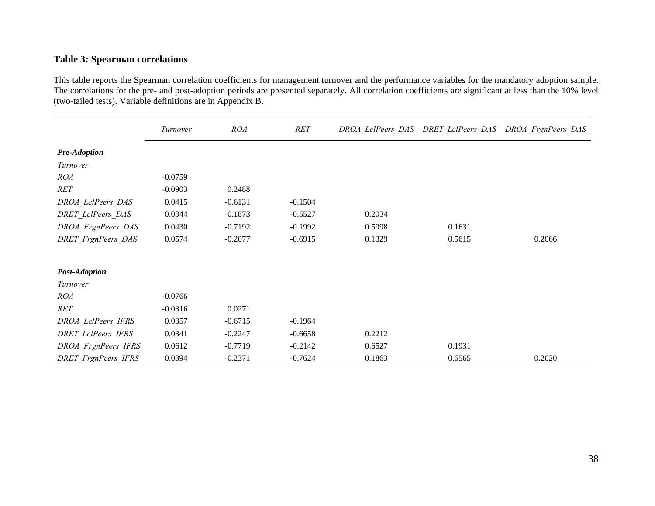# **Table 3: Spearman correlations**

This table reports the Spearman correlation coefficients for management turnover and the performance variables for the mandatory adoption sample. The correlations for the pre- and post-adoption periods are presented separately. All correlation coefficients are significant at less than the 10% level (two-tailed tests). Variable definitions are in Appendix B.

|                            | Turnover  | ROA       | RET       |        | DROA_LclPeers_DAS DRET_LclPeers DAS | DROA FrgnPeers DAS |
|----------------------------|-----------|-----------|-----------|--------|-------------------------------------|--------------------|
| <b>Pre-Adoption</b>        |           |           |           |        |                                     |                    |
| Turnover                   |           |           |           |        |                                     |                    |
| <b>ROA</b>                 | $-0.0759$ |           |           |        |                                     |                    |
| RET                        | $-0.0903$ | 0.2488    |           |        |                                     |                    |
| DROA_LclPeers_DAS          | 0.0415    | $-0.6131$ | $-0.1504$ |        |                                     |                    |
| <b>DRET</b> LclPeers DAS   | 0.0344    | $-0.1873$ | $-0.5527$ | 0.2034 |                                     |                    |
| DROA_FrgnPeers_DAS         | 0.0430    | $-0.7192$ | $-0.1992$ | 0.5998 | 0.1631                              |                    |
| <b>DRET</b> FrgnPeers DAS  | 0.0574    | $-0.2077$ | $-0.6915$ | 0.1329 | 0.5615                              | 0.2066             |
| <b>Post-Adoption</b>       |           |           |           |        |                                     |                    |
| Turnover                   |           |           |           |        |                                     |                    |
| <i>ROA</i>                 | $-0.0766$ |           |           |        |                                     |                    |
| <b>RET</b>                 | $-0.0316$ | 0.0271    |           |        |                                     |                    |
| DROA LclPeers IFRS         | 0.0357    | $-0.6715$ | $-0.1964$ |        |                                     |                    |
| <b>DRET</b> LclPeers IFRS  | 0.0341    | $-0.2247$ | $-0.6658$ | 0.2212 |                                     |                    |
| DROA FrgnPeers IFRS        | 0.0612    | $-0.7719$ | $-0.2142$ | 0.6527 | 0.1931                              |                    |
| <b>DRET</b> FrgnPeers IFRS | 0.0394    | $-0.2371$ | $-0.7624$ | 0.1863 | 0.6565                              | 0.2020             |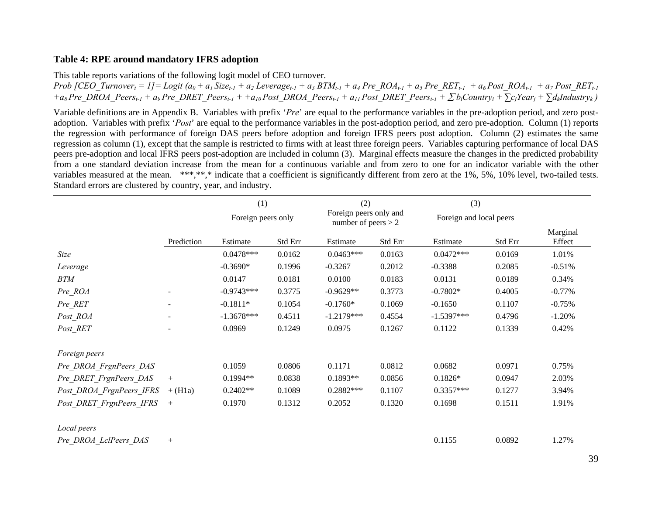### **Table 4: RPE around mandatory IFRS adoption**

This table reports variations of the following logit model of CEO turnover.

*Prob* [CEO\_Turnover<sub>t</sub> = 1] = Logit (a<sub>0</sub> + a<sub>1</sub> Size<sub>t-1</sub> + a<sub>2</sub> Leverage<sub>t-1</sub> + a<sub>3</sub> BTM<sub>t-1</sub> + a<sub>4</sub> Pre\_ROA<sub>t-1</sub> + a<sub>5</sub> Pre\_RET<sub>t-1</sub> + a<sub>6</sub> Post\_ROA<sub>t-1</sub> + a<sub>7</sub> Post\_RET<sub>t-1</sub>  $+a_8$  Pre\_DROA\_Peers<sub>t-1</sub> + a9 Pre\_DRET\_Peers<sub>t-1</sub> + +a<sub>10</sub> Post\_DROA\_Peers<sub>t-1</sub> + a<sub>11</sub> Post\_DRET\_Peers<sub>t-1</sub> +  $\sum$ *b<sub>i</sub>*Country<sub>i</sub> +  $\sum$ <sub>Ci</sub>Year<sub>i</sub> +  $\sum$ *d<sub>k</sub>Industryk* )

Variable definitions are in Appendix B. Variables with prefix '*Pre*' are equal to the performance variables in the pre-adoption period, and zero postadoption. Variables with prefix '*Post*' are equal to the performance variables in the post-adoption period, and zero pre-adoption. Column (1) reports the regression with performance of foreign DAS peers before adoption and foreign IFRS peers post adoption. Column (2) estimates the same regression as column (1), except that the sample is restricted to firms with at least three foreign peers. Variables capturing performance of local DAS peers pre-adoption and local IFRS peers post-adoption are included in column (3). Marginal effects measure the changes in the predicted probability from a one standard deviation increase from the mean for a continuous variable and from zero to one for an indicator variable with the other variables measured at the mean. \*\*\*,\*\*,\* indicate that a coefficient is significantly different from zero at the 1%, 5%, 10% level, two-tailed tests. Standard errors are clustered by country, year, and industry.

|                          |            | (1)<br>(2)<br>Foreign peers only and<br>Foreign peers only<br>number of peers $> 2$ |         |              |         | (3)<br>Foreign and local peers |         |                    |
|--------------------------|------------|-------------------------------------------------------------------------------------|---------|--------------|---------|--------------------------------|---------|--------------------|
|                          |            |                                                                                     |         |              |         |                                |         |                    |
|                          | Prediction | Estimate                                                                            | Std Err | Estimate     | Std Err | Estimate                       | Std Err | Marginal<br>Effect |
| Size                     |            | $0.0478***$                                                                         | 0.0162  | $0.0463***$  | 0.0163  | $0.0472***$                    | 0.0169  | 1.01%              |
| Leverage                 |            | $-0.3690*$                                                                          | 0.1996  | $-0.3267$    | 0.2012  | $-0.3388$                      | 0.2085  | $-0.51%$           |
| <b>BTM</b>               |            | 0.0147                                                                              | 0.0181  | 0.0100       | 0.0183  | 0.0131                         | 0.0189  | 0.34%              |
| Pre ROA                  |            | $-0.9743***$                                                                        | 0.3775  | $-0.9629**$  | 0.3773  | $-0.7802*$                     | 0.4005  | $-0.77%$           |
| Pre RET                  |            | $-0.1811*$                                                                          | 0.1054  | $-0.1760*$   | 0.1069  | $-0.1650$                      | 0.1107  | $-0.75%$           |
| Post_ROA                 |            | $-1.3678***$                                                                        | 0.4511  | $-1.2179***$ | 0.4554  | $-1.5397***$                   | 0.4796  | $-1.20%$           |
| Post RET                 |            | 0.0969                                                                              | 0.1249  | 0.0975       | 0.1267  | 0.1122                         | 0.1339  | 0.42%              |
| Foreign peers            |            |                                                                                     |         |              |         |                                |         |                    |
| Pre DROA FrgnPeers DAS   |            | 0.1059                                                                              | 0.0806  | 0.1171       | 0.0812  | 0.0682                         | 0.0971  | 0.75%              |
| Pre DRET FrgnPeers DAS   | $+$        | $0.1994**$                                                                          | 0.0838  | $0.1893**$   | 0.0856  | $0.1826*$                      | 0.0947  | 2.03%              |
| Post DROA FrgnPeers IFRS | $+ (H1a)$  | $0.2402**$                                                                          | 0.1089  | $0.2882***$  | 0.1107  | $0.3357***$                    | 0.1277  | 3.94%              |
| Post DRET FrgnPeers IFRS | $+$        | 0.1970                                                                              | 0.1312  | 0.2052       | 0.1320  | 0.1698                         | 0.1511  | 1.91%              |
| Local peers              |            |                                                                                     |         |              |         |                                |         |                    |
| Pre DROA LclPeers DAS    | $^{+}$     |                                                                                     |         |              |         | 0.1155                         | 0.0892  | 1.27%              |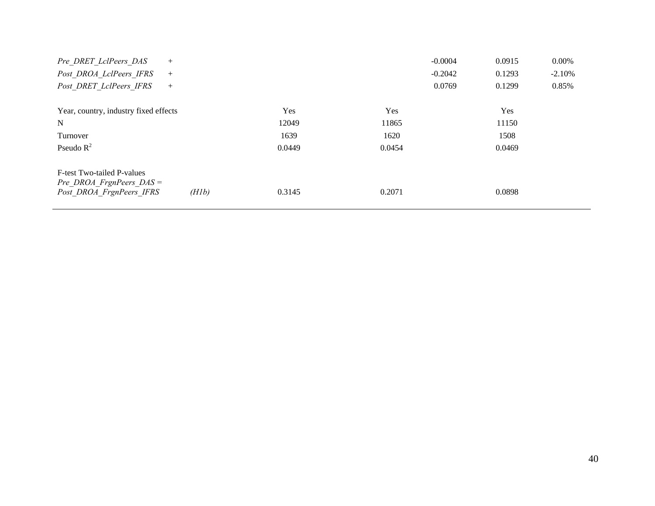| Pre DRET LclPeers DAS<br>$+$                           |       |        |        | $-0.0004$ | 0.0915     | 0.00%     |
|--------------------------------------------------------|-------|--------|--------|-----------|------------|-----------|
| Post DROA LclPeers IFRS<br>$^{+}$                      |       |        |        | $-0.2042$ | 0.1293     | $-2.10\%$ |
| Post DRET LclPeers IFRS<br>$^{+}$                      |       |        |        | 0.0769    | 0.1299     | 0.85%     |
|                                                        |       |        |        |           |            |           |
| Year, country, industry fixed effects                  |       | Yes    | Yes    |           | <b>Yes</b> |           |
| $\mathbf N$                                            |       | 12049  | 11865  |           | 11150      |           |
| Turnover                                               |       | 1639   | 1620   |           | 1508       |           |
| Pseudo $R^2$                                           |       | 0.0449 | 0.0454 |           | 0.0469     |           |
| F-test Two-tailed P-values                             |       |        |        |           |            |           |
| Pre DROA FrgnPeers $DAS =$<br>Post DROA FrgnPeers IFRS | (H1b) | 0.3145 | 0.2071 |           | 0.0898     |           |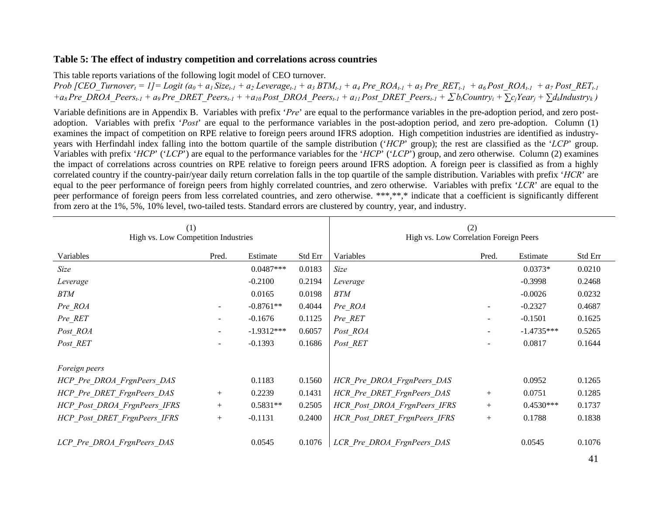### **Table 5: The effect of industry competition and correlations across countries**

This table reports variations of the following logit model of CEO turnover.

*Prob*  $\int$ CEO\_Turnover<sub>t</sub> = 1] = Logit  $(a_0 + a_1 Size_{t-1} + a_2 Leverage_{t-1} + a_3 BTM_{t-1} + a_4 Pre$  ROA<sub>t-1</sub> + a<sub>5</sub> Pre\_RET<sub>t-1</sub> + a<sub>6</sub> Post\_ROA<sub>t-1</sub> + a7 Post\_RET<sub>t-1</sub>  $+a_8$  Pre\_DROA\_Peers<sub>t-1</sub> + a9 Pre\_DRET\_Peers<sub>t-1</sub> + +a<sub>10</sub> Post\_DROA\_Peers<sub>t-1</sub> + a<sub>11</sub> Post\_DRET\_Peers<sub>t-1</sub> +  $\sum$ *b<sub>i</sub>*Country<sub>i</sub> +  $\sum$ <sub>ci</sub>Year<sub>i</sub> +  $\sum$ *d<sub>k</sub>Industryk* )

Variable definitions are in Appendix B. Variables with prefix '*Pre*' are equal to the performance variables in the pre-adoption period, and zero postadoption. Variables with prefix '*Post*' are equal to the performance variables in the post-adoption period, and zero pre-adoption. Column (1) examines the impact of competition on RPE relative to foreign peers around IFRS adoption. High competition industries are identified as industryyears with Herfindahl index falling into the bottom quartile of the sample distribution ('*HCP*' group); the rest are classified as the '*LCP*' group. Variables with prefix '*HCP*' ('*LCP*') are equal to the performance variables for the '*HCP*' ('*LCP*') group, and zero otherwise. Column (2) examines the impact of correlations across countries on RPE relative to foreign peers around IFRS adoption. A foreign peer is classified as from a highly correlated country if the country-pair/year daily return correlation falls in the top quartile of the sample distribution. Variables with prefix '*HCR*' are equal to the peer performance of foreign peers from highly correlated countries, and zero otherwise. Variables with prefix '*LCR*' are equal to the peer performance of foreign peers from less correlated countries, and zero otherwise. \*\*\*,\*\*,\* indicate that a coefficient is significantly different from zero at the 1%, 5%, 10% level, two-tailed tests. Standard errors are clustered by country, year, and industry.

| (1)<br>High vs. Low Competition Industries |                          |              | (2)<br>High vs. Low Correlation Foreign Peers |                              |        |              |         |
|--------------------------------------------|--------------------------|--------------|-----------------------------------------------|------------------------------|--------|--------------|---------|
| Variables                                  | Pred.                    | Estimate     | Std Err                                       | Variables                    | Pred.  | Estimate     | Std Err |
| Size                                       |                          | $0.0487***$  | 0.0183                                        | Size                         |        | $0.0373*$    | 0.0210  |
| Leverage                                   |                          | $-0.2100$    | 0.2194                                        | Leverage                     |        | $-0.3998$    | 0.2468  |
| <b>BTM</b>                                 |                          | 0.0165       | 0.0198                                        | <b>BTM</b>                   |        | $-0.0026$    | 0.0232  |
| Pre ROA                                    |                          | $-0.8761**$  | 0.4044                                        | Pre ROA                      |        | $-0.2327$    | 0.4687  |
| Pre_RET                                    | $\overline{\phantom{a}}$ | $-0.1676$    | 0.1125                                        | Pre RET                      |        | $-0.1501$    | 0.1625  |
| Post ROA                                   | $\overline{\phantom{a}}$ | $-1.9312***$ | 0.6057                                        | Post ROA                     |        | $-1.4735***$ | 0.5265  |
| Post RET                                   | $\overline{\phantom{a}}$ | $-0.1393$    | 0.1686                                        | Post RET                     |        | 0.0817       | 0.1644  |
|                                            |                          |              |                                               |                              |        |              |         |
| Foreign peers                              |                          |              |                                               |                              |        |              |         |
| HCP Pre DROA FrgnPeers DAS                 |                          | 0.1183       | 0.1560                                        | HCR Pre DROA FrgnPeers DAS   |        | 0.0952       | 0.1265  |
| HCP Pre DRET FrgnPeers DAS                 | $^{+}$                   | 0.2239       | 0.1431                                        | HCR Pre DRET FrgnPeers DAS   | $^{+}$ | 0.0751       | 0.1285  |
| HCP Post DROA FrgnPeers IFRS               | $^{+}$                   | $0.5831**$   | 0.2505                                        | HCR Post DROA FrgnPeers IFRS | $^{+}$ | $0.4530***$  | 0.1737  |
| HCP Post DRET FrgnPeers IFRS               | $^{+}$                   | $-0.1131$    | 0.2400                                        | HCR Post DRET FrgnPeers IFRS | $+$    | 0.1788       | 0.1838  |
|                                            |                          |              |                                               |                              |        |              |         |
| LCP Pre DROA FrgnPeers DAS                 |                          | 0.0545       | 0.1076                                        | LCR Pre DROA FrgnPeers DAS   |        | 0.0545       | 0.1076  |

41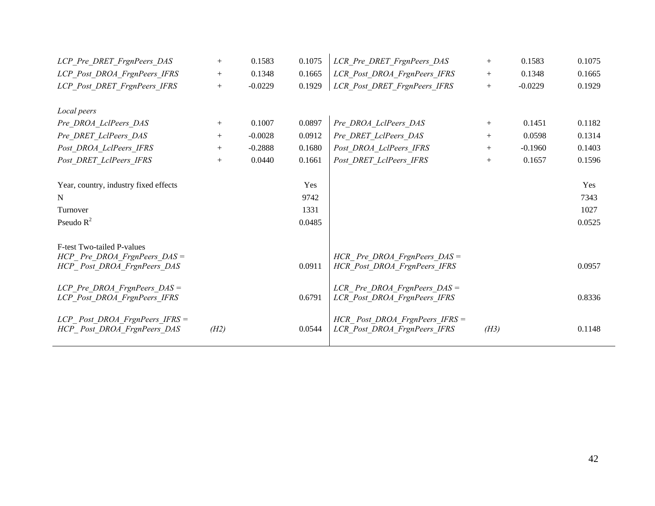| LCP Pre DRET FrgnPeers DAS            | $^{+}$ | 0.1583    | 0.1075 | LCR Pre DRET FrgnPeers DAS       | $^{+}$ | 0.1583    | 0.1075 |
|---------------------------------------|--------|-----------|--------|----------------------------------|--------|-----------|--------|
| LCP Post DROA FrgnPeers IFRS          | $^{+}$ | 0.1348    | 0.1665 | LCR Post DROA FrgnPeers IFRS     | $^{+}$ | 0.1348    | 0.1665 |
| LCP Post DRET FrgnPeers IFRS          | $+$    | $-0.0229$ | 0.1929 | LCR Post DRET FrgnPeers IFRS     | $^{+}$ | $-0.0229$ | 0.1929 |
|                                       |        |           |        |                                  |        |           |        |
| Local peers                           |        |           |        |                                  |        |           |        |
| Pre DROA LclPeers DAS                 | $+$    | 0.1007    | 0.0897 | Pre DROA LclPeers DAS            | $^{+}$ | 0.1451    | 0.1182 |
| Pre DRET LclPeers DAS                 | $^{+}$ | $-0.0028$ | 0.0912 | Pre DRET LclPeers DAS            | $^{+}$ | 0.0598    | 0.1314 |
| Post DROA LclPeers IFRS               | $^{+}$ | $-0.2888$ | 0.1680 | Post DROA LclPeers IFRS          | $^{+}$ | $-0.1960$ | 0.1403 |
| Post DRET LclPeers IFRS               | $^{+}$ | 0.0440    | 0.1661 | Post DRET LclPeers IFRS          | $^{+}$ | 0.1657    | 0.1596 |
|                                       |        |           |        |                                  |        |           |        |
| Year, country, industry fixed effects |        |           | Yes    |                                  |        |           | Yes    |
| $\mathbf N$                           |        |           | 9742   |                                  |        |           | 7343   |
| Turnover                              |        |           | 1331   |                                  |        |           | 1027   |
| Pseudo $R^2$                          |        |           | 0.0485 |                                  |        |           | 0.0525 |
|                                       |        |           |        |                                  |        |           |        |
| <b>F-test Two-tailed P-values</b>     |        |           |        |                                  |        |           |        |
| $HCP$ Pre DROA FrgnPeers DAS =        |        |           |        | HCR Pre DROA FrgnPeers $DAS =$   |        |           |        |
| HCP Post DROA FrgnPeers DAS           |        |           | 0.0911 | HCR Post DROA FrgnPeers IFRS     |        |           | 0.0957 |
| LCP Pre DROA FrgnPeers $DAS =$        |        |           |        | LCR Pre DROA FrgnPeers $DAS =$   |        |           |        |
| LCP Post DROA FrgnPeers IFRS          |        |           | 0.6791 | LCR Post DROA FrgnPeers IFRS     |        |           | 0.8336 |
|                                       |        |           |        |                                  |        |           |        |
| $LCP$ Post DROA FrgnPeers IFRS =      |        |           |        | $HCR$ Post DROA FrgnPeers IFRS = |        |           |        |
| HCP Post DROA FrgnPeers DAS           | (H2)   |           | 0.0544 | LCR Post DROA FrgnPeers IFRS     | (H3)   |           | 0.1148 |
|                                       |        |           |        |                                  |        |           |        |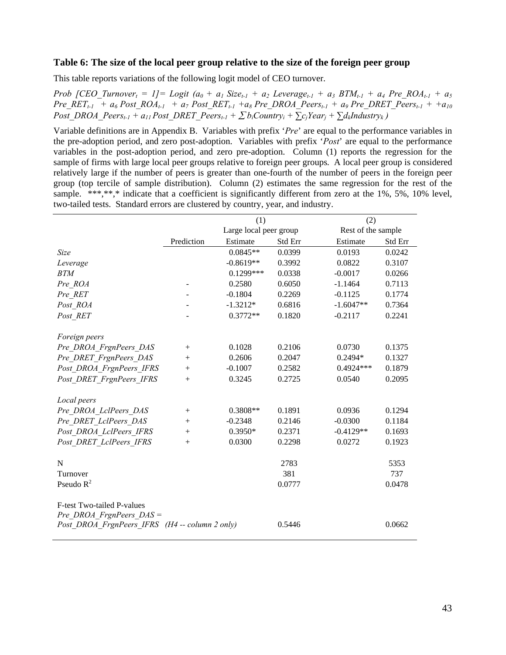#### **Table 6: The size of the local peer group relative to the size of the foreign peer group**

This table reports variations of the following logit model of CEO turnover.

*Prob* [CEO\_Turnover<sub>t</sub> = 1]= Logit  $(a_0 + a_1 Size_{t-1} + a_2 Leverage_{t-1} + a_3 BTM_{t-1} + a_4 Pre_ROA_{t-1} + a_5$  $Pre\_RET_{t-1} + a_6 Post\_ROA_{t-1} + a_7 Post\_RET_{t-1} + a_8 Pre\_DROA\_Peers_{t-1} + a_9 Pre\_DRET\_Peers_{t-1} + a_{10}$ *Post\_DROA\_Peers<sub>t-1</sub> + a<sub>11</sub> Post\_DRET\_Peers<sub>t-1</sub> +*  $\sum$ *<i>biCountryi +*  $\sum$ *ciYeari +*  $\sum$ *d<sub>k</sub>Industryk* )

Variable definitions are in Appendix B. Variables with prefix '*Pre*' are equal to the performance variables in the pre-adoption period, and zero post-adoption. Variables with prefix '*Post*' are equal to the performance variables in the post-adoption period, and zero pre-adoption. Column (1) reports the regression for the sample of firms with large local peer groups relative to foreign peer groups. A local peer group is considered relatively large if the number of peers is greater than one-fourth of the number of peers in the foreign peer group (top tercile of sample distribution). Column (2) estimates the same regression for the rest of the sample. \*\*\*,\*\*,\* indicate that a coefficient is significantly different from zero at the 1%, 5%, 10% level, two-tailed tests. Standard errors are clustered by country, year, and industry.

|                                                |            | (1)                    |         | (2)                |         |  |
|------------------------------------------------|------------|------------------------|---------|--------------------|---------|--|
|                                                |            | Large local peer group |         | Rest of the sample |         |  |
|                                                | Prediction | Estimate               | Std Err | Estimate           | Std Err |  |
| Size                                           |            | $0.0845**$             | 0.0399  | 0.0193             | 0.0242  |  |
| Leverage                                       |            | $-0.8619**$            | 0.3992  | 0.0822             | 0.3107  |  |
| <b>BTM</b>                                     |            | $0.1299***$            | 0.0338  | $-0.0017$          | 0.0266  |  |
| Pre ROA                                        |            | 0.2580                 | 0.6050  | $-1.1464$          | 0.7113  |  |
| Pre RET                                        |            | $-0.1804$              | 0.2269  | $-0.1125$          | 0.1774  |  |
| Post ROA                                       |            | $-1.3212*$             | 0.6816  | $-1.6047**$        | 0.7364  |  |
| Post RET                                       |            | $0.3772**$             | 0.1820  | $-0.2117$          | 0.2241  |  |
|                                                |            |                        |         |                    |         |  |
| Foreign peers                                  |            |                        |         |                    |         |  |
| Pre DROA FrgnPeers DAS                         | $^{+}$     | 0.1028                 | 0.2106  | 0.0730             | 0.1375  |  |
| Pre DRET FrgnPeers DAS                         | $^{+}$     | 0.2606                 | 0.2047  | 0.2494*            | 0.1327  |  |
| Post DROA FrgnPeers IFRS                       | $^{+}$     | $-0.1007$              | 0.2582  | $0.4924***$        | 0.1879  |  |
| Post DRET FrgnPeers IFRS                       | $^{+}$     | 0.3245                 | 0.2725  | 0.0540             | 0.2095  |  |
|                                                |            |                        |         |                    |         |  |
| Local peers                                    |            |                        |         |                    |         |  |
| Pre DROA LclPeers DAS                          | $^{+}$     | $0.3808**$             | 0.1891  | 0.0936             | 0.1294  |  |
| Pre DRET LclPeers DAS                          | $^{+}$     | $-0.2348$              | 0.2146  | $-0.0300$          | 0.1184  |  |
| Post DROA LclPeers IFRS                        | $+$        | $0.3950*$              | 0.2371  | $-0.4129**$        | 0.1693  |  |
| Post DRET LclPeers IFRS                        | $+$        | 0.0300                 | 0.2298  | 0.0272             | 0.1923  |  |
|                                                |            |                        |         |                    |         |  |
| N                                              |            |                        | 2783    |                    | 5353    |  |
| Turnover                                       |            |                        | 381     |                    | 737     |  |
| Pseudo $R^2$                                   |            |                        | 0.0777  |                    | 0.0478  |  |
|                                                |            |                        |         |                    |         |  |
| F-test Two-tailed P-values                     |            |                        |         |                    |         |  |
| Pre DROA FrgnPeers $DAS =$                     |            |                        |         |                    |         |  |
| Post DROA FrgnPeers IFRS (H4 -- column 2 only) |            |                        | 0.5446  |                    | 0.0662  |  |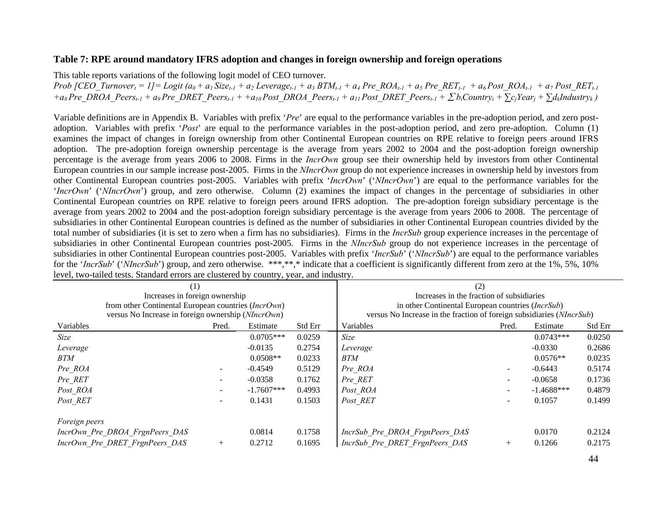### **Table 7: RPE around mandatory IFRS adoption and changes in foreign ownership and foreign operations**

This table reports variations of the following logit model of CEO turnover.

*Prob [CEO\_Turnover<sub>t</sub> = 1]* = *Logit*  $(a_0 + a_1 Size_{t-1} + a_2 Leverage_{t-1} + a_3 BTM_{t-1} + a_4 Pre_ROA_{t-1} + a_5 Pre_RET_{t-1} + a_6 Post_ROA_{t-1} + a_7 Post_RET_{t-1}$ +a<sub>8</sub> Pre\_DROA\_Peers<sub>t-1</sub> + a9 Pre\_DRET\_Peers<sub>t-1</sub> + +a<sub>10</sub> Post\_DROA\_Peers<sub>t-1</sub> + a<sub>11</sub> Post\_DRET\_Peers<sub>t-1</sub> + ∑b<sub>i</sub>Country<sub>i</sub> + ∑c<sub>j</sub>Year<sub>j</sub> + ∑d<sub>k</sub>Industry<sub>k</sub>)

Variable definitions are in Appendix B. Variables with prefix '*Pre*' are equal to the performance variables in the pre-adoption period, and zero postadoption. Variables with prefix '*Post*' are equal to the performance variables in the post-adoption period, and zero pre-adoption. Column (1) examines the impact of changes in foreign ownership from other Continental European countries on RPE relative to foreign peers around IFRS adoption. The pre-adoption foreign ownership percentage is the average from years 2002 to 2004 and the post-adoption foreign ownership percentage is the average from years 2006 to 2008. Firms in the *IncrOwn* group see their ownership held by investors from other Continental European countries in our sample increase post-2005. Firms in the *NIncrOwn* group do not experience increases in ownership held by investors from other Continental European countries post-2005. Variables with prefix '*IncrOwn*' ('*NIncrOwn*') are equal to the performance variables for the '*IncrOwn*' ('*NIncrOwn*') group, and zero otherwise. Column (2) examines the impact of changes in the percentage of subsidiaries in other Continental European countries on RPE relative to foreign peers around IFRS adoption. The pre-adoption foreign subsidiary percentage is the average from years 2002 to 2004 and the post-adoption foreign subsidiary percentage is the average from years 2006 to 2008. The percentage of subsidiaries in other Continental European countries is defined as the number of subsidiaries in other Continental European countries divided by the total number of subsidiaries (it is set to zero when a firm has no subsidiaries). Firms in the *IncrSub* group experience increases in the percentage of subsidiaries in other Continental European countries post-2005. Firms in the *NIncrSub* group do not experience increases in the percentage of subsidiaries in other Continental European countries post-2005. Variables with prefix '*IncrSub*' ('*NIncrSub*') are equal to the performance variables for the '*IncrSub*' ('*NIncrSub*') group, and zero otherwise. \*\*\*,\*\*,\* indicate that a coefficient is significantly different from zero at the 1%, 5%, 10% level, two-tailed tests. Standard errors are clustered by country, year, and industry.

| (1)                                                 |        | (2)                                               |         |                                                                       |        |              |         |  |  |  |  |  |
|-----------------------------------------------------|--------|---------------------------------------------------|---------|-----------------------------------------------------------------------|--------|--------------|---------|--|--|--|--|--|
| Increases in foreign ownership                      |        |                                                   |         | Increases in the fraction of subsidiaries                             |        |              |         |  |  |  |  |  |
| from other Continental European countries (IncrOwn) |        | in other Continental European countries (IncrSub) |         |                                                                       |        |              |         |  |  |  |  |  |
| versus No Increase in foreign ownership (NIncrOwn)  |        |                                                   |         | versus No Increase in the fraction of foreign subsidiaries (NIncrSub) |        |              |         |  |  |  |  |  |
| Variables                                           | Pred.  | Estimate                                          | Std Err | Variables                                                             | Pred.  | Estimate     | Std Err |  |  |  |  |  |
| Size                                                |        | $0.0705***$                                       | 0.0259  | Size                                                                  |        | $0.0743***$  | 0.0250  |  |  |  |  |  |
| Leverage                                            |        | $-0.0135$                                         | 0.2754  | Leverage                                                              |        | $-0.0330$    | 0.2686  |  |  |  |  |  |
| <b>BTM</b>                                          |        | $0.0508**$                                        | 0.0233  | <b>BTM</b>                                                            |        | $0.0576**$   | 0.0235  |  |  |  |  |  |
| Pre ROA                                             |        | $-0.4549$                                         | 0.5129  | Pre ROA                                                               | $\sim$ | $-0.6443$    | 0.5174  |  |  |  |  |  |
| Pre_RET                                             |        | $-0.0358$                                         | 0.1762  | Pre RET                                                               | $\sim$ | $-0.0658$    | 0.1736  |  |  |  |  |  |
| Post ROA                                            |        | $-1.7607***$                                      | 0.4993  | Post_ROA                                                              |        | $-1.4688***$ | 0.4879  |  |  |  |  |  |
| Post RET                                            |        | 0.1431                                            | 0.1503  | Post RET                                                              |        | 0.1057       | 0.1499  |  |  |  |  |  |
|                                                     |        |                                                   |         |                                                                       |        |              |         |  |  |  |  |  |
| Foreign peers                                       |        |                                                   |         |                                                                       |        |              |         |  |  |  |  |  |
| IncrOwn Pre DROA FrgnPeers DAS                      |        | 0.0814                                            | 0.1758  | IncrSub Pre DROA FrgnPeers DAS                                        |        | 0.0170       | 0.2124  |  |  |  |  |  |
| IncrOwn Pre DRET FrgnPeers DAS                      | $^{+}$ | 0.2712                                            | 0.1695  | IncrSub Pre DRET FrgnPeers DAS                                        | $+$    | 0.1266       | 0.2175  |  |  |  |  |  |